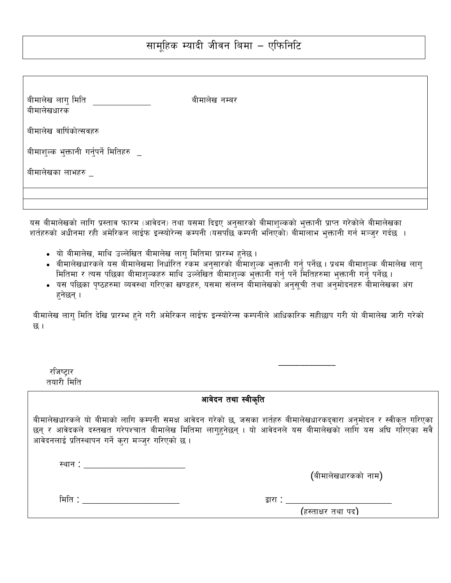| बीमालेख लागु मिति<br>बीमालेखधारक        | बीमालेख नम्बर |
|-----------------------------------------|---------------|
| बीमालेख वार्षिकोत्सवहरु                 |               |
| बीमाशुल्क भुक्तानी गर्नुपर्ने मितिहरु _ |               |
| बीमालेखका लाभहरु _                      |               |
|                                         |               |
|                                         |               |

यस बीमालेखको लागि प्रस्ताव फारम (आवेदन) तथा यसमा दिइए अनुसारको बीमाशुल्कको भुक्तानी प्राप्त गरेकोले बीमालेखका शर्तहरुको अधीनमा रही अमेरिकन लाईफ इन्स्योरेन्स कम्पनी (यसपछि कम्पनी भनिएको) बीमालाभ भुक्तानी गर्न मञ्जुर गर्दछ ।

- यो बीमालेख, माथि उल्लेखित बीमालेख लागु मितिमा प्रारम्भ हुनेछ ।
- बीमालेखधारकले यस बीमालेखमा निर्धारित रकम अनुसारको बीमाशुल्क भुक्तानी गर्नु पर्नेछ । प्रथम बीमाशुल्क बीमालेख लागु मितिमा र त्यस पछिका बीमाशुल्कहरु माथि उल्लेखित बीमाशुल्क भुक्तानी गर्नु पर्ने मितिहरुमा भुक्तानी गर्नु पर्नेछ।
- यस पछिका पृष्ठहरुमा व्यवस्था गरिएका खण्डहरु, यसमा संलग्न बीमालेखको अनुसूची तथा अनुमोदनहरु बीमालेखका अंग हुनेछन् ।

बीमालेख लागु मिति देखि प्रारम्भ हुने गरी अमेरिकन लाईफ इन्स्योरेन्स कम्पनीले आधिकारिक सहीछाप गरी यो बीमालेख जारी गरेको छ।

| राजष्टार   |  |
|------------|--|
| तयारी मिति |  |

आवेदन तथा स्वीकृति

बीमालेखधारकले यो बीमाको लागि कम्पनी समक्ष आवेदन गरेको छ, जसका शर्तहरु बीमालेखधारकद्वारा अनुमोदन र स्वीकृत गरिएका छन् र आवेदकले दस्तखत गरेपश्चात बीमालेख मितिमा लागहनेछन् । यो आवेदनले यस बीमालेखको लागि यस अघि गरिएका सवै आवेदनलाई प्रतिस्थापन गर्ने करा मञ्जर गरिएको छ ।

| . .<br>ມ |  |
|----------|--|
|          |  |

(बीमालेखधारकको नाम)

| r |  |
|---|--|
|   |  |

द्वारा : \_\_

(हस्ताक्षर तथा पद)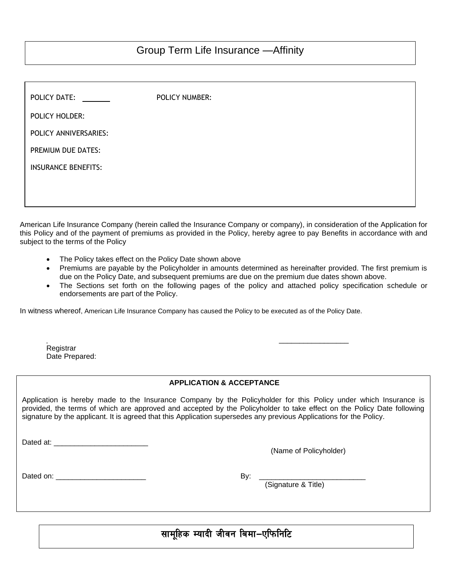| POLICY DATE:               | POLICY NUMBER: |
|----------------------------|----------------|
| POLICY HOLDER:             |                |
| POLICY ANNIVERSARIES:      |                |
| PREMIUM DUE DATES:         |                |
| <b>INSURANCE BENEFITS:</b> |                |
|                            |                |
|                            |                |

American Life Insurance Company (herein called the Insurance Company or company), in consideration of the Application for this Policy and of the payment of premiums as provided in the Policy, hereby agree to pay Benefits in accordance with and subject to the terms of the Policy

- The Policy takes effect on the Policy Date shown above
- Premiums are payable by the Policyholder in amounts determined as hereinafter provided. The first premium is due on the Policy Date, and subsequent premiums are due on the premium due dates shown above.
- The Sections set forth on the following pages of the policy and attached policy specification schedule or endorsements are part of the Policy.

In witness whereof, American Life Insurance Company has caused the Policy to be executed as of the Policy Date.

| - 1            |  |
|----------------|--|
| Registrar      |  |
| Date Prepared: |  |

### **APPLICATION & ACCEPTANCE**

Application is hereby made to the Insurance Company by the Policyholder for this Policy under which Insurance is provided, the terms of which are approved and accepted by the Policyholder to take effect on the Policy Date following signature by the applicant. It is agreed that this Application supersedes any previous Applications for the Policy.

Dated at: \_\_\_\_\_\_\_\_\_\_\_\_\_\_\_\_\_\_\_\_\_\_\_

(Name of Policyholder)

Dated on: \_\_\_\_\_\_\_\_\_\_\_\_\_\_\_\_\_\_\_\_\_\_ By: \_\_\_\_\_\_\_\_\_\_\_\_\_\_\_\_\_\_\_\_\_\_\_\_\_\_

 $\overline{a}$ 

(Signature & Title)

# सामूहिक म्यादी जीवन बिमा-एफिनिटि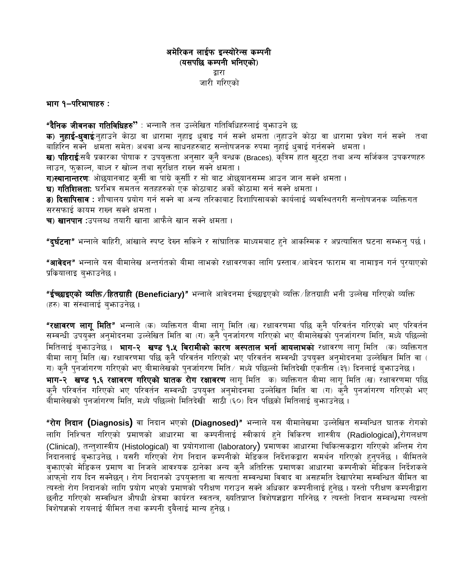## अमेरिकन लाईफ इन्स्योरेन्स कम्पनी (यसपछि कम्पनी भनिएको) द्वारा जारी गरिएको

भाग १–परिभाषाहरु:

**"दैनिक जीवनका गतिविधिहरु"** : भन्नाले तल उल्लेखित गतिविधिहरुलाई बुभ्फाउने छ: **क) नुहाई-धुवाई**:नुहाउने केाठा वा धारामा नुहाइ धुवाइ गर्न सक्ने क्षमता (नुहाउने कोठा वा धारामा प्रवेश गर्न सक्ने तथा बाहिरिन सक्ने क्षमता समेत) अथवा अन्य साधनहरुबाट सन्तोषजनक रुपमा नुहाई धवाई गर्नसक्ने क्षमता । ख) पहिराई:सबै प्रकारका पोषाक र उपयुक्तता अनुसार कुनै बन्धक (Braces), कृत्रिम हात खुट्टा तथा अन्य सर्जिकल उपकरणहरु लाउन, फुकाल्न, बाध्न र खोल्न तथा सुरक्षित राख्न सक्ने क्षमता। ग)स्थानान्तरणः ओछ्यानवाट कुर्सी वा पांग्रे कुर्साी र सो बाट ओछ्यानसम्म आउन जान सक्ने क्षमता । घ) गतिशिलताः घरभित्र समतलं सतहहरुको एक कोठाबाट अर्को कोठामा सर्न सक्ने क्षमता । <mark>ङ) दिसापिसाव</mark> : शौचालय प्रयोग गर्न सक्ने वा अन्य तरिकाबाट दिशापिसाबको कार्यलाई ब्यवस्थितगरी सन्तोषजनक व्यक्तिगत सरसफाई कायम राख्न सक्ने क्षमता। **च) खानपान** :उपलब्ध तयारी खाना आफैले खान सक्ने क्षमता ।

**"दर्घटना"** भन्नाले वाहिरी, आंखाले स्पष्ट देख्न सकिने र सांघातिक माध्यमबाट हने आकस्मिक र अप्रत्यासित घटना सम्फन् पर्छ।

**"आवेदन"** भन्नाले यस बीमालेख अन्तर्गतको बीमा लाभको रक्षावरणका लागि प्रस्ताव ∕ आवेदन फाराम वा नामाङ्गन गर्न प्**रयाएको** प्रकियालाइ ब़भ्ताउनेछ ।

**"ईच्छाइएको व्यक्ति ∕हितग्राही (Beneficiary)"** भन्नाले आवेदनमा ईच्छाइएको व्यक्ति ∕हितग्राही भनी उल्लेख गरिएको व्यक्ति (हरु) वा संस्थालाई बभाउनेछ ।

**"रक्षावरण लागू मिति"** भन्नाले (क) व्यक्तिगत बीमा लागू मिति (ख) रक्षावरणमा पछि कुनै परिवर्तन गरिएको भए परिवर्तन सम्वन्धी उपयुक्ते अनुमोदनमा उल्लेखित मिति वा (ग) कुनै पुनर्जागरण गरिएको भए बीमालेखको पुनर्जागरण मिति, मध्ये पछिल्लो मितिलाई बुभगउनेछ । भाग-२ खण्ड १.५ बिरामीको कारण अस्पताल भर्ना आयलाभको रक्षावरण लाग मिति (क) व्यक्तिगत बीमा लागू मिति (ख) रक्षावरणमा पछि कुनै परिवर्तन गरिएको भए परिवर्तन सम्वन्धी उपयुक्त अनुमोदनमा उल्लेखित मिति वा ( ग) कुनै पुनर्जागरण गरिएको भए बीमालेखको पुनर्जागरण मिति ⁄मध्ये पछिल्लो मितिदेखी एकतीस (३१) दिनलाई बुभ्फाउनेछ ।

भाग-२ खण्ड १.६ रक्षावरण गरिएको घातक रोग रक्षावरण लागू मिति क) ब्यक्तिगत बीमा लागू मिति (ख) रक्षावरणमा पछि कुनै परिवर्तन गरिएको भए परिवर्तन सम्वन्धी उपयुक्त अनुमोदनमा उल्लेखित मिति वा (ग) कुनै पुनर्जागरण गरिएको भए बीमालेखको पुनर्जागरण मिति, मध्ये पछिल्लो मितिदेखी साठी (६०) दिन पछिको मितिलाई बुभाउनेछ ।

"रोग निदान (Diagnosis) वा निदान भएको (Diagnosed)" भन्नाले यस बीमालेखमा उल्लेखित सम्बन्धित घातक रोगको लागि निश्चित गरिएको प्रमाणको आधारमा वा कम्पनीलाई स्वीकार्य हुने विकिरण शास्त्रीय (Radiological),रोगलक्षण (Clinical), तन्तुशास्त्रीय (Histological) वा प्रयोगशाला (laboratory) प्रमाणका आधारमा चिकित्सकद्वारा गरिएको अन्तिम रोग .<br>निदानलाई बुफाउनेछ । यसरी गरिएको रोग निदान कम्पनीको मेडिकल निर्देशकद्वारा समर्थन गरिएको हुनुपर्नेछ । बीमितले वृफाएको मेडिकल प्रमाण वा निजले आवश्यक ठानेका अन्य कुनै अतिरिक्त प्रमाणका आधारमा कम्पनीको मेडिकल निर्देशकले आफ्नो राय दिन सक्नेछन् । रोग निदानको उपयुक्तता वा सत्यता सम्वन्धमा विवाद वा असहमति देखापरेमा सम्वन्धित बीमित वा त्यस्तो रोग निदानको लागि प्रयोग भएको प्रमाणको परीक्षण गराउन सक्ने अधिकार कम्पनीलाई हुनेछ। यस्तो परीक्षण कम्पनीद्वारा छनौट गरिएको सम्वन्धित औषधी क्षेत्रमा कार्यरत स्वतन्त्र, ख्यतिप्राप्त विशेषज्ञद्वारा गरिनेछ र त्यस्तो निदान सम्बन्धमा त्यस्तो विशेषज्ञको रायलाई बीमित तथा कम्पनी दुबैलाई मान्य हुनेछ ।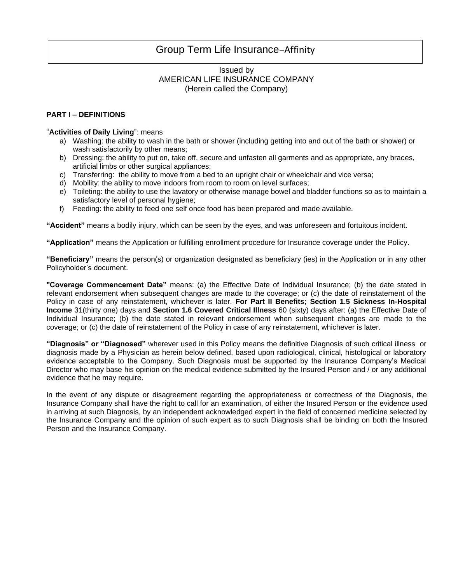# Group Term Life Insurance—Affinity

### Issued by AMERICAN LIFE INSURANCE COMPANY (Herein called the Company)

#### **PART I – DEFINITIONS**

#### "**Activities of Daily Living**": means

- a) Washing: the ability to wash in the bath or shower (including getting into and out of the bath or shower) or wash satisfactorily by other means;
- b) Dressing: the ability to put on, take off, secure and unfasten all garments and as appropriate, any braces, artificial limbs or other surgical appliances;
- c) Transferring: the ability to move from a bed to an upright chair or wheelchair and vice versa;
- d) Mobility: the ability to move indoors from room to room on level surfaces;
- e) Toileting: the ability to use the lavatory or otherwise manage bowel and bladder functions so as to maintain a satisfactory level of personal hygiene;
- f) Feeding: the ability to feed one self once food has been prepared and made available.

**"Accident"** means a bodily injury, which can be seen by the eyes, and was unforeseen and fortuitous incident.

**"Application"** means the Application or fulfilling enrollment procedure for Insurance coverage under the Policy.

**"Beneficiary"** means the person(s) or organization designated as beneficiary (ies) in the Application or in any other Policyholder's document.

**"Coverage Commencement Date"** means: (a) the Effective Date of Individual Insurance; (b) the date stated in relevant endorsement when subsequent changes are made to the coverage; or (c) the date of reinstatement of the Policy in case of any reinstatement, whichever is later. **For Part II Benefits; Section 1.5 Sickness In-Hospital Income** 31(thirty one) days and **Section 1.6 Covered Critical Illness** 60 (sixty) days after: (a) the Effective Date of Individual Insurance; (b) the date stated in relevant endorsement when subsequent changes are made to the coverage; or (c) the date of reinstatement of the Policy in case of any reinstatement, whichever is later.

**"Diagnosis" or "Diagnosed"** wherever used in this Policy means the definitive Diagnosis of such critical illness or diagnosis made by a Physician as herein below defined, based upon radiological, clinical, histological or laboratory evidence acceptable to the Company. Such Diagnosis must be supported by the Insurance Company's Medical Director who may base his opinion on the medical evidence submitted by the Insured Person and / or any additional evidence that he may require.

In the event of any dispute or disagreement regarding the appropriateness or correctness of the Diagnosis, the Insurance Company shall have the right to call for an examination, of either the Insured Person or the evidence used in arriving at such Diagnosis, by an independent acknowledged expert in the field of concerned medicine selected by the Insurance Company and the opinion of such expert as to such Diagnosis shall be binding on both the Insured Person and the Insurance Company.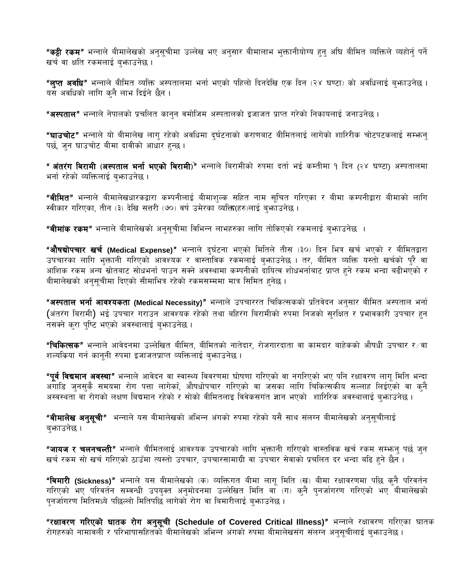**"कट्टी रकम"** भन्नाले बीमालेखको अनुसुचीमा उल्लेख भए अनुसार बीमालाभ भुक्तानीयोग्य हुनु अघि बीमित व्यक्तिले व्यहोर्न् पर्ने खर्च वा क्षति रकमलाई बभाउनेछ।

**"लुप्त अवधि"** भन्नाले बीमित व्यक्ति अस्पतालमा भर्ना भएको पहिलो दिनदेखि एक दिन (२४ घण्टा) को अवधिलाई बुभ्फाउनेछ । यस अवधिको लागि कनै लाभ दिईने छैन ।

**"अस्पताल"** भन्नाले नेपालको प्रचलित कानुन वमोजिम अस्पतालको इजाजत प्राप्त गरेको निकायलाई जनाउनेछ ।

"घाउचोट" भन्नाले यो बीमालेख लाग् रहेको अवधिमा दुर्घटनाको कराणबाट बीमितलाई लागेको शारिरीक चोटपटकलाई सम्फन् पर्छ, जन घाउचोट बीमा दावीको आधार हुन्छ ।

**" अंतरंग बिरामी (अस्पताल भर्ना भएको बिरामी**)" भन्नाले बिरामीको रुपमा दर्ता भई कम्तीमा १ दिन (२४ घण्टा) अस्पतालमा भर्ना रहेको व्यक्तिलाई बुभ्काउनेछ ।

**"बीमित"** भन्नाले बीमालेखधारकद्वारा कम्पनीलाई बीमाशुल्क सहित नाम सूचित गरिएका र बीमा कम्पनीद्वारा बीमाको लागि स्वीकार गरिएका, तीन (३) देखि सत्तरी (७०) वर्ष उमेरका व्यक्ति(हरु)लाई बर्भाउनेछ ।

**"बीमांक रकम"** भन्नाले बीमालेखको अनुसुचीमा विभिन्न लाभहरुका लागि तोकिएको रकमलाई बुभ्फाउनेछ ।

**"औषद्योपचार खर्च (Medical Expense)"** भन्नाले दुर्घटना भएको मितिले तीस (३०) दिन भित्र खर्च भएको र बीमितद्वारा उपचारका लागि भुक्तानी गरिएको आवश्यक र वास्ताविक रकमलाई बुभ्ताउनेछ । तर, बीमित व्यक्ति यस्तो खर्चको पुरै वा आंशिक रकम अन्य स्रोतबाट सोधभर्ना पाउन सक्ने अवस्थामा कम्पनीको दायित्व शोधभर्नाबाट प्राप्त हुने रकम भन्दा बढीभएको र बीमालेखको अनुसूचीमा दिएको सीमाभित्र रहेको रकमसम्ममा मात्र सिमित हुनेछ ।

"अस्पताल भर्ना आवश्यकता (Medical Necessity)" भन्नाले उपचाररत चिकित्सकको प्रतिवेदन अनुसार बीमित अस्पताल भर्ना (अंतरंग बिरामी) भई उपचार गराउन आवश्यक रहेको तथा बहिरंग बिरामीको रुपमा निजको सुरक्षित र प्रभावकारी उपचार हुन नसक्ने कुरा पुष्टि भएको अवस्थालाई बुभ्राउनेछ ।

**"चिकित्सक"** भन्नाले आवेदनमा उल्लेखित बीमित, बीमितको नातेदार, रोजगारदाता वा कामदार बाहेकको औषधी उपचार र ∕ वा शल्यकिया गर्न कानूनी रुपमा इजाजतप्राप्त व्यक्तिलाई बुभ्राउनेछ ।

**"पूर्व विद्यमान अवस्था"** भन्नाले आवेदन वा स्वास्थ्य विवरणमा घोषणा गरिएको वा नगरिएको भए पनि रक्षावरण लागू मिति भन्दा ्णोडि जुनसुकै समयमा रोग पत्ता लागेका, औषधोपचार गरिएको वा जसका लागि चिकित्सकीय सल्लाह लिईएको वा कुनै अस्वस्थता वा रोगको लक्षण बिद्यमान रहेको र सोको वीमितलाइ विवेकसगंत ज्ञान भएको शारिरिक अवस्थालाई ब्भाउनेछ ।

**"बीमालेख अनुसूची"** भन्नाले यस बीमालेखको अभिन्न अंगको रुपमा रहेको यसै साथ संलग्न बीमालेखको अनुसूचीलाई ब्फाउनेछ ।

**"जायज र चलनचल्ती"** भन्नाले बीमितलाई आवश्यक उपचारको लागि भुक्तानी गरिएको वास्तविक खर्च रकम सम्भन्न पर्छ जुन खर्च रकम सो खर्च गरिएको ठाउँमा त्यस्तो उपचार, उपचारसामाग्री वा उपचार सेवाको प्रचलित दर भन्दा बढि हुने छैन ।

"बिमारी (Sickness)" भन्नाले यस बीमालेखको (क) व्यक्तिगत बीमा लागू मिति (ख) बीमा रक्षावरणमा पछि कुनै परिवर्तन गरिएको भए परिवर्तन सम्वन्धी उपयुक्त अनुमोदनमा उल्लेखित मिति वा (ग) कुनै पुनर्जागरण गरिएको भए बीमालेखको पनर्जागरण मितिमध्ये पछिल्लो मितिपछि लागेको रोग वा बिमारीलाई बफाउनेछ ।

"रक्षावरण गरिएको घातक रोग अनुसूची (Schedule of Covered Critical Illness)" भन्नाले रक्षावरण गरिएका घातक रोगहरुको नामावली र परिभाषासहितको बीमालेखको अभिन्न अंगको रुपमा बीमालेखसंग संलग्न अनुसूचीलाई बुभाउनेछ ।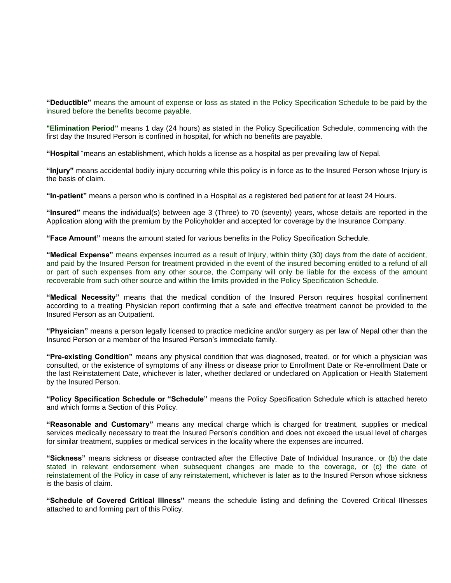**"Deductible"** means the amount of expense or loss as stated in the Policy Specification Schedule to be paid by the insured before the benefits become payable.

**"Elimination Period"** means 1 day (24 hours) as stated in the Policy Specification Schedule, commencing with the first day the Insured Person is confined in hospital, for which no benefits are payable.

**"Hospital** "means an establishment, which holds a license as a hospital as per prevailing law of Nepal.

**"Injury"** means accidental bodily injury occurring while this policy is in force as to the Insured Person whose Injury is the basis of claim.

**"In-patient"** means a person who is confined in a Hospital as a registered bed patient for at least 24 Hours.

**"Insured"** means the individual(s) between age 3 (Three) to 70 (seventy) years, whose details are reported in the Application along with the premium by the Policyholder and accepted for coverage by the Insurance Company.

**"Face Amount"** means the amount stated for various benefits in the Policy Specification Schedule.

**"Medical Expense"** means expenses incurred as a result of Injury, within thirty (30) days from the date of accident, and paid by the Insured Person for treatment provided in the event of the insured becoming entitled to a refund of all or part of such expenses from any other source, the Company will only be liable for the excess of the amount recoverable from such other source and within the limits provided in the Policy Specification Schedule.

**"Medical Necessity"** means that the medical condition of the Insured Person requires hospital confinement according to a treating Physician report confirming that a safe and effective treatment cannot be provided to the Insured Person as an Outpatient.

**"Physician"** means a person legally licensed to practice medicine and/or surgery as per law of Nepal other than the Insured Person or a member of the Insured Person's immediate family.

**"Pre-existing Condition"** means any physical condition that was diagnosed, treated, or for which a physician was consulted, or the existence of symptoms of any illness or disease prior to Enrollment Date or Re-enrollment Date or the last Reinstatement Date, whichever is later, whether declared or undeclared on Application or Health Statement by the Insured Person.

**"Policy Specification Schedule or "Schedule"** means the Policy Specification Schedule which is attached hereto and which forms a Section of this Policy.

**"Reasonable and Customary"** means any medical charge which is charged for treatment, supplies or medical services medically necessary to treat the Insured Person's condition and does not exceed the usual level of charges for similar treatment, supplies or medical services in the locality where the expenses are incurred.

**"Sickness"** means sickness or disease contracted after the Effective Date of Individual Insurance, or (b) the date stated in relevant endorsement when subsequent changes are made to the coverage, or (c) the date of reinstatement of the Policy in case of any reinstatement, whichever is later as to the Insured Person whose sickness is the basis of claim.

**"Schedule of Covered Critical Illness"** means the schedule listing and defining the Covered Critical Illnesses attached to and forming part of this Policy.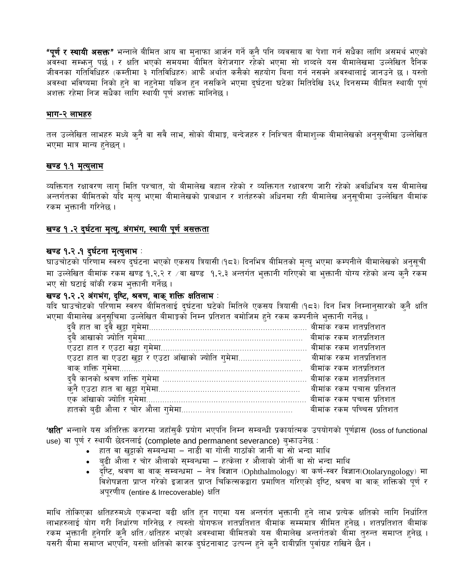**"पूर्ण र स्थायी असक्त"** भन्नाले बीमित आय वा मुनाफा आर्जन गर्ने कुनै पनि व्यवसाय वा पेशा गर्न सधैका लागि असमर्थ भएको .<br>अवस्था सम्फन् पर्छ । र क्षति भएको समयमा बीमित बेरोजगार रहेको भएमा सो शव्दले यस बीमालेखमा उल्लेखित दैनिक जीवनका गतिविधिहरु (कम्तीमा ३ गतिविधिहरु) आफै अर्थात कसैको सहयोग बिना गर्न नसक्ने अवस्थालाई जानउने छ । यस्तो अवस्था भविष्यमा निको हुने वा नहुनेमा यकिन हुन नसकिने भएमा दुर्घटना घटेका मितिदेखि ३६५ दिनसम्म बीमित स्थायी पूर्ण अशक्त रहेमा निज सधैका लागि स्थायी पूर्ण अशक्त मानिनेछ ।

### भाग-२ लाभहरु

तल उल्लेखित लाभहरु मध्ये कनै वा सवै लाभ, सोको बीमाङ्क, बन्देजहरु र निश्चित बीमाशुल्क बीमालेखको अनुसूचीमा उल्लेखित भएमा मात्र मान्य हुनेछन्।

### <u>खण्ड १.१ मृत्युलाभ</u>

व्यक्तिगत रक्षावरण लागु मिति पश्चात, यो बीमालेख वहाल रहेको र व्यक्तिगत रक्षावरण जारी रहेको अवधिभित्र यस बीमालेख अन्तर्गतका बीमितको यदि मृत्यु भएमा बीमालेखको प्रावधान र शर्तहरुको अधिनमा रही बीमालेख अनुसूचीमा उल्लेखित बीमांक रकम भुक्तानी गरिनेछ ।

# खण्ड १.२ दुर्घटना मृत्यु, अंगभंग, स्थायी पूर्ण असक्तता

### खण्ड १.२.१ दुर्घटना मृत्युलाभ :

घाउचोटको परिणाम स्वरुप दुर्घटना भएको एकसय त्रियासी (१८३) दिनभित्र बीमितको मृत्यु भएमा कम्पनीले बीमालेखको अनुसूची मा उल्लेखित बीमांक रकम खण्ड १.२.२ र ⁄वा खण्ड १.२.३ अन्तर्गत भुक्तानी गरिएको वा भुक्तानी योग्य रहेको अन्य क्नै रकम भए सो घटाई बाँकी रकम भुक्तानी गर्नेछ।

## खण्ड १.२ .२ अंगभंग, दृष्टि, श्रवण, वाक् शक्ति क्षतिलाभ :

यदि घाउचोटको परिणाम स्वरुप बीमितलाई दुर्घटना घटेको मितिले एकसय त्रियासी (१८३) दिन भित्र निम्नानुसारको कुनै क्षति .<br>भएमा बीमालेख अनुसुचिमा उल्लेखित बीमाङ्को निम्न प्रतिशत वमोजिम हुने रकम कम्पनीले भक्तानी गर्नेछ ।

| दुबै कानको श्रवण शक्ति गुमेमा …………………………………………………… बीमांक रकम शतप्रतिशत |  |  |
|-------------------------------------------------------------------------|--|--|
|                                                                         |  |  |
|                                                                         |  |  |
|                                                                         |  |  |

'क्षति' भन्नाले यस अतिरिक्त करारमा जहाँसुकै प्रयोग भएपनि निम्न सम्बन्धी प्रकार्यात्मक उपयोगको पूर्णह्रास (loss of functional use) वा पूर्ण र स्थायी छेदनलाई (complete and permanent severance) बुभगउनेछ :

- हात वा खुट्टाको सम्बन्धमा नाडी वा गोली गाठाँको जार्नी वा सो भन्दा माथि
- बुढी औला र चोर औलाको सुम्बन्धमा हत्केला र औलाको जोर्नी वा सो भन्दा माथि
- दुष्टि, श्रवण वा वाक् सम्बन्धमा नेत्र विज्ञान (Ophthalmology) वा कर्ण-स्वर विज्ञान(Otolaryngology) मा विशेषज्ञता प्राप्त गरेको इजाजत प्राप्त चिकित्सकद्वारा प्रमाणित गरिएको दृष्टि, श्रवण वा वाक् शक्तिको पूर्ण र अपूरणीय (entire & Irrecoverable) क्षति

माथि तोकिएका क्षतिहरुमध्ये एकभन्दा बढी क्षति हुन गएमा यस अन्तर्गत भुक्तानी हुने लाभ प्रत्येक क्षतिको लागि निर्धारित लाभहरुलाई योग गरी निर्धारण गरिनेछ र त्यस्तो योगफल शतप्रतिशत बीमांक सम्ममात्र सीमित हुनेछ । शतप्रतिशत बीमांक रकम भुक्तानी हनेगरि कनै क्षति ∕क्षतिहरु भएको अवस्थामा बीमितको यस बीमालेख अन्तर्गतको बीमा तुरुन्त समाप्त हुनेछ । यसरी बीमा समाप्त भएपनि, यस्तो क्षतिको कारक दुर्घटनावाट उत्पन्न हुने कुनै दाबीप्रति पुर्वाग्रह राखिने छैन ।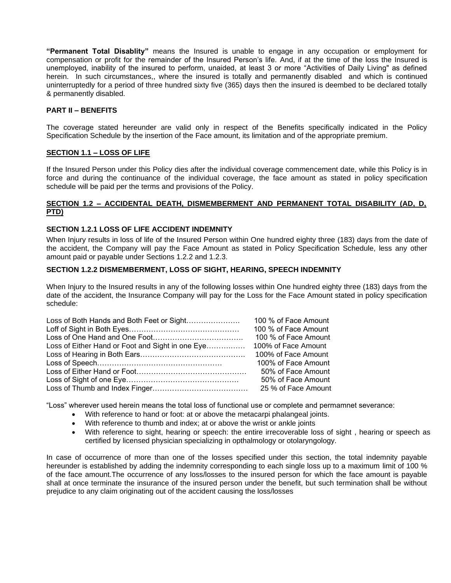**"Permanent Total Disablity"** means the Insured is unable to engage in any occupation or employment for compensation or profit for the remainder of the Insured Person's life. And, if at the time of the loss the Insured is unemployed, inability of the insured to perform, unaided, at least 3 or more "Activities of Daily Living" as defined herein. In such circumstances,, where the insured is totally and permanently disabled and which is continued uninterruptedly for a period of three hundred sixty five (365) days then the insured is deembed to be declared totally & permanently disabled.

#### **PART II – BENEFITS**

The coverage stated hereunder are valid only in respect of the Benefits specifically indicated in the Policy Specification Schedule by the insertion of the Face amount, its limitation and of the appropriate premium.

#### **SECTION 1.1 – LOSS OF LIFE**

If the Insured Person under this Policy dies after the individual coverage commencement date, while this Policy is in force and during the continuance of the individual coverage, the face amount as stated in policy specification schedule will be paid per the terms and provisions of the Policy.

### **SECTION 1.2 – ACCIDENTAL DEATH, DISMEMBERMENT AND PERMANENT TOTAL DISABILITY (AD, D, PTD)**

#### **SECTION 1.2.1 LOSS OF LIFE ACCIDENT INDEMNITY**

When Injury results in loss of life of the Insured Person within One hundred eighty three (183) days from the date of the accident, the Company will pay the Face Amount as stated in Policy Specification Schedule, less any other amount paid or payable under Sections 1.2.2 and 1.2.3.

#### **SECTION 1.2.2 DISMEMBERMENT, LOSS OF SIGHT, HEARING, SPEECH INDEMNITY**

When Injury to the Insured results in any of the following losses within One hundred eighty three (183) days from the date of the accident, the Insurance Company will pay for the Loss for the Face Amount stated in policy specification schedule:

| Loss of Both Hands and Both Feet or Sight        | 100 % of Face Amount |
|--------------------------------------------------|----------------------|
|                                                  | 100 % of Face Amount |
|                                                  | 100 % of Face Amount |
| Loss of Either Hand or Foot and Sight in one Eye | 100% of Face Amount  |
|                                                  | 100% of Face Amount  |
|                                                  | 100% of Face Amount  |
|                                                  | 50% of Face Amount   |
|                                                  | 50% of Face Amount   |
|                                                  | 25 % of Face Amount  |

"Loss" wherever used herein means the total loss of functional use or complete and permamnet severance:

- With reference to hand or foot: at or above the metacarpi phalangeal joints.
- With reference to thumb and index; at or above the wrist or ankle joints
- With reference to sight, hearing or speech: the entire irrecoverable loss of sight , hearing or speech as certified by licensed physician specializing in opthalmology or otolaryngology.

In case of occurrence of more than one of the losses specified under this section, the total indemnity payable hereunder is established by adding the indemnity corresponding to each single loss up to a maximum limit of 100 % of the face amount.The occurrence of any loss/losses to the insured person for which the face amount is payable shall at once terminate the insurance of the insured person under the benefit, but such termination shall be without prejudice to any claim originating out of the accident causing the loss/losses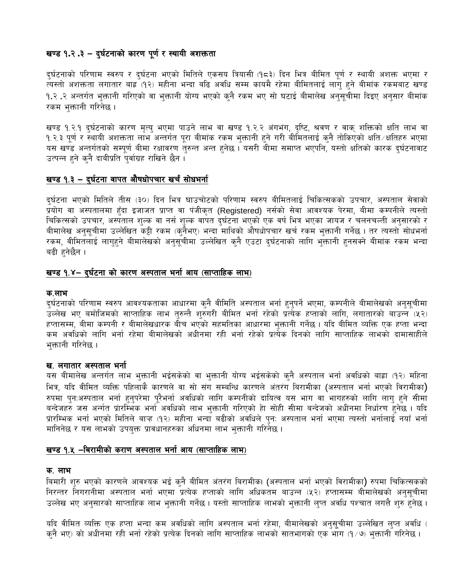# खण्ड १.२.३ – दुर्घटनाको कारण पूर्ण र स्थायी अशक्तता

दुर्घटनाको परिणाम स्वरुप र दुर्घटना भएको मितिले एकसय त्रियासी (१८३) दिन भित्र बीमित पूर्ण र स्थायी अशक्त भएमा र त्यस्तो अशक्तता लगातार बाह्र (१२) महीना भन्दा बढि अवधि सम्म कायमै रहेमा बीमितलाई लागु हुने बीमांक रकमबाट खण्ड १.२ .२ अन्तर्गत भुक्तानी गरिएको वा भुक्तानी योग्य भएको कुनै रकम भए सो घटाई बीमालेख अनुसूचीमा दिइए अनुसार बीमांक रकम भुक्तानी गरिनेछ ।

खण्ड १.२.१ दुर्घटनाको कारण मृत्यु भएमा पाउने लाभ वा खण्ड १.२.२ अंगभंग, दृष्टि, श्रवण र वाक् शक्तिको क्षति लाभ वा १.२.३ पूर्ण र स्थायी अशक्तता लाभ अन्तर्गत पूरा बीमांक रकम भुक्तानी हुने गरी बीमितलाई कुनै तोकिएको क्षति ∕क्षतिहरु भएमा यस खण्डे अन्तर्गतको सम्पूर्ण बीमा रक्षावरण तुरुन्त अन्त हुनेछ । यसरी बीमा समाप्त भएपनि, यस्तो क्षतिको कारक दुर्घटनावाट उत्पन्न हुने कुनै दाबीप्रति पुर्वाग्रह राखिने छैन।

# खण्ड १.३ - दुर्घटना वापत औषधोपचार खर्चं सोधभर्ना

दुर्घटना भएको मितिले तीस (३०) दिन भित्र घाउचोटको परिणाम स्वरुप बीमितलाई चिकित्सकको उपचार, अस्पताल सेवाको प्रयोग वा अस्पतालमा हुँदा इजाजत प्राप्त वा पंजीकृत (Registered) नर्सको सेवा आवश्यक पेरमा, बीमा कम्पनीले त्यस्तो चिकित्सको उपचार, अस्पताल शुल्क वा नर्स शुल्क वापत दुर्घटना भएको एक वर्ष भित्र भएका जायज र चलनचल्ती अनुसारको र बीमालेख अनुसूचीमा उल्लेखित कट्टी रकम (कनैभए) भन्दा माथिको औषधोपचार खर्च रकम भुक्तानी गर्नेछ । तर त्यस्तो सोधभर्ना रकम, वीमितलाई लागुहुने बीमालेखको अनुसूचीमा उल्लेखित कुनै एउटा दुर्घटनाको लागि भुक्तानी हुनसक्ने बीमांक रकम भन्दा बढी हनेछैन ।

# खण्ड १.४– दुर्घटना को कारण अस्पताल भर्ना आय (साप्ताहिक लाभ)

### क.लाभ

दुर्घटनाको परिणाम स्वरुप आवश्यकताका आधारमा कुनै वीमिति अस्पताल भर्ना हुनुपर्ने भएमा, कम्पनीले बीमालेखको अनुसूचीमा उल्लेख भए बमोजिमको साप्ताहिक लाभ तुरुन्तै शुरुंगरी बीमित भर्ना रहेको प्रत्येक हप्ताको लागि, लगातारको बाउन्न<sup>ै</sup>(५२) हप्तासम्म, बीमा कम्पनी र बीमालेखधारक बीच भएको सहमतिका आधारमा भुक्तानी गर्नेछ । यदि बीमित व्यक्ति एक हप्ता भन्दा कम अवधिको लागि भर्ना रहेमा बीमालेखको अधीनमा रही भर्ना रहेको प्रत्येक दिनको लागि साप्ताहिक लाभको दामासाहीले भुक्तानी गरिनेछ ।

# ख. लगातार अस्पताल भर्ना

यस बीमालेख अन्तर्गत लाभ भुक्तानी भईसकेको वा भुक्तानी योग्य भईसकेको कुनै अस्पताल भर्ना अवधिको बाह्रा (१२) महिना भित्र, यदि वीमित व्यक्ति पहिलाकै कारणले वा सो संग सम्बन्धि कारणले अंतरंग बिरामीका (अस्पताल भर्ना भएको विरामीका) रुपमा पुनःअस्पताल भर्ना हुनुपरेमा पूरैभर्ना अवधिको लागि कम्पनीको दायित्व यस भाग वा भागहरुको लागि लागु हुने सीमा बन्देजहरु जस अर्नात प्रारम्भिक भर्ना अवधिको लाभ भुक्तानी गरिएको हेा सोही सीमा बन्देजको अधीनमा निर्धारण हुनेछ । यदि प्रारम्भिक भर्ना भएको मितिले बाऱ्ह (१२) महीना भन्दा बढीको अवधिले पनः अस्पताल भर्ना भएमा त्यस्तो भर्नालाई नयाँ भर्ना मानिनेछ र यस लाभको उपयुक्त प्रावधानहरुका अधिनमा लाभ भुक्तानी गरिनेछ ।

# खण्ड १.५ –बिरामीको कराण अस्पताल भर्ना आय (साप्ताहिक लाभ)

### क. लाभ

बिमारी शुरु भएको कारणले आवश्यक भई कुनै बीमित अंतरंग बिरामीक। (अस्पताल भर्ना भएको विरामीका) रुपमा चिकित्सकको निरन्तर निगरानीमा अस्पताल भर्ना भएमा प्रत्येक हप्ताको लागि अधिकतम बाउन्न (५२) हप्तासम्म बीमालेखको अनुसूचीमा उल्लेख भए अनुसारको साप्ताहिक लाभ भुक्तानी गर्नेछ। यस्तो साप्ताहिक लाभको भुक्तानी लुप्त अवधि पश्चात लगत्तै शुरु हुनेछ।

यदि वीमित व्यक्ति एक हप्ता भन्दा कम अवधिको लागि अस्पताल भर्ना रहेमा, बीमालेखको अनुसूचीमा उल्लेखित लुप्त अवधि ( कुनै भए) को अधीनमा रही भर्ना रहेको प्रत्येक दिनको लागि साप्ताहिक लाभको सातभागको एक भाग (१∕७) भुक्तानी गरिनेछ ।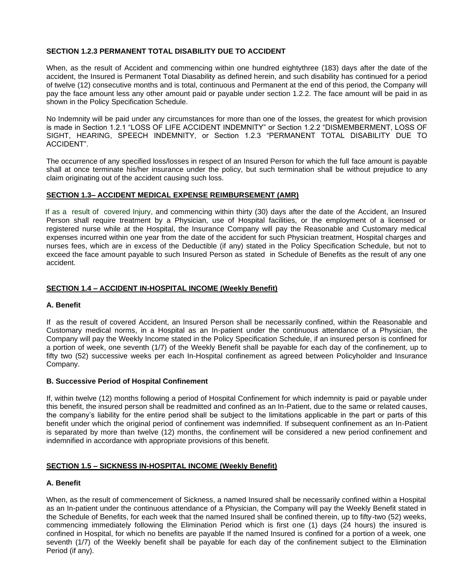### **SECTION 1.2.3 PERMANENT TOTAL DISABILITY DUE TO ACCIDENT**

When, as the result of Accident and commencing within one hundred eightythree (183) days after the date of the accident, the Insured is Permanent Total Diasability as defined herein, and such disability has continued for a period of twelve (12) consecutive months and is total, continuous and Permanent at the end of this period, the Company will pay the face amount less any other amount paid or payable under section 1.2.2. The face amount will be paid in as shown in the Policy Specification Schedule.

No Indemnity will be paid under any circumstances for more than one of the losses, the greatest for which provision is made in Section 1.2.1 "LOSS OF LIFE ACCIDENT INDEMNITY" or Section 1.2.2 "DISMEMBERMENT, LOSS OF SIGHT, HEARING, SPEECH INDEMNITY, or Section 1.2.3 "PERMANENT TOTAL DISABILITY DUE TO ACCIDENT".

The occurrence of any specified loss/losses in respect of an Insured Person for which the full face amount is payable shall at once terminate his/her insurance under the policy, but such termination shall be without prejudice to any claim originating out of the accident causing such loss.

#### **SECTION 1.3– ACCIDENT MEDICAL EXPENSE REIMBURSEMENT (AMR)**

 If as a result of covered Injury, and commencing within thirty (30) days after the date of the Accident, an Insured Person shall require treatment by a Physician, use of Hospital facilities, or the employment of a licensed or registered nurse while at the Hospital, the Insurance Company will pay the Reasonable and Customary medical expenses incurred within one year from the date of the accident for such Physician treatment, Hospital charges and nurses fees, which are in excess of the Deductible (if any) stated in the Policy Specification Schedule, but not to exceed the face amount payable to such Insured Person as stated in Schedule of Benefits as the result of any one accident.

#### **SECTION 1.4 – ACCIDENT IN-HOSPITAL INCOME (Weekly Benefit)**

#### **A. Benefit**

If as the result of covered Accident, an Insured Person shall be necessarily confined, within the Reasonable and Customary medical norms, in a Hospital as an In-patient under the continuous attendance of a Physician, the Company will pay the Weekly Income stated in the Policy Specification Schedule, if an insured person is confined for a portion of week, one seventh (1/7) of the Weekly Benefit shall be payable for each day of the confinement, up to fifty two (52) successive weeks per each In-Hospital confinement as agreed between Policyholder and Insurance Company.

#### **B. Successive Period of Hospital Confinement**

If, within twelve (12) months following a period of Hospital Confinement for which indemnity is paid or payable under this benefit, the insured person shall be readmitted and confined as an In-Patient, due to the same or related causes, the company's liability for the entire period shall be subject to the limitations applicable in the part or parts of this benefit under which the original period of confinement was indemnified. If subsequent confinement as an In-Patient is separated by more than twelve (12) months, the confinement will be considered a new period confinement and indemnified in accordance with appropriate provisions of this benefit.

#### **SECTION 1.5 – SICKNESS IN-HOSPITAL INCOME (Weekly Benefit)**

### **A. Benefit**

When, as the result of commencement of Sickness, a named Insured shall be necessarily confined within a Hospital as an In-patient under the continuous attendance of a Physician, the Company will pay the Weekly Benefit stated in the Schedule of Benefits, for each week that the named Insured shall be confined therein, up to fifty-two (52) weeks, commencing immediately following the Elimination Period which is first one (1) days (24 hours) the insured is confined in Hospital, for which no benefits are payable If the named Insured is confined for a portion of a week, one seventh (1/7) of the Weekly benefit shall be payable for each day of the confinement subject to the Elimination Period (if any).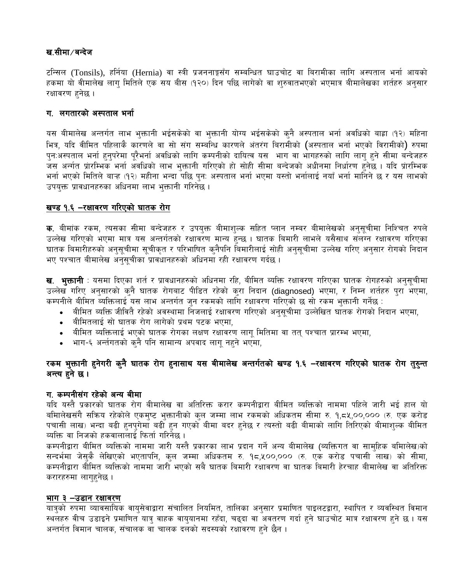# ख.सीमा ∕ बन्देज

टन्सिल (Tonsils), हर्निया (Hernia) वा स्त्री प्रजननाङ्गसँग सम्बन्धित घाउचोट वा बिरामीका लागि अस्पताल भर्ना आयको हकमा यो वीमालेख लाग मितिले एक सय बीस (१२०) दिन पछि लागेको वा शुरुवातभएको भएमात्र बीमालेखका शर्तहरु अनुसार रक्षावरण हनेछ।

# ग. लगतारको अस्पताल भर्ना

यस बीमालेख अन्तर्गत लाभ भुक्तानी भईसकेको वा भुक्तानी योग्य भईसकेको कुनै अस्पताल भर्ना अवधिको बाह्रा (१२) महिना भित्र, यदि वीमित पहिलाकै कारणले वा सो संग सम्बन्धि कारणले अंतरंग बिरामीको (अस्पताल भर्ना भएको विरामीको) रुपमा पुनःअस्पताल भर्ना हुनुपरेमा पूरैभर्ना अवधिको लागि कम्पनीको दायित्व यस भाग वा भागहरुको लागि लागु हुने सीमा बन्देजहरु जस अर्नात प्रारम्भिक भर्ना अवधिको लाभ भुक्तानी गरिएको हो सोही सीमा बन्देजको अधीनमा निर्धारण हुनेछ । यदि प्रारम्भिक भर्ना भएको मितिले बाऱ्ह (१२) महीना भन्दा पछि पुन: अस्पताल भर्ना भएमा यस्तो भर्नालाई नयाँ भर्ना मानिने छ र यस लाभको उपयुक्त प्रावधानहरुका अधिनमा लाभ भुक्तानी गरिनेछ ।

# खण्ड १.६ –रक्षावरण गरिएको घातक रोग

क. बीमांक रकम, त्यसका सीमा बन्देजहरु र उपयुक्त बीमाशुल्क सहित प्लान नम्बर बीमालेखको अनुसूचीमा निश्चित रुपले उल्लेख गरिएको भएमा मात्र यस अन्तर्गतको रक्षावरण मान्य हुन्छ । घातक बिमारी लाभले यसैसाथ संलग्न रक्षावरण गरिएका घातक बिमारीहरुको अनुसूचीमा सूचीकृत र परिभाषित कुनैपनि बिमारीलाई सोही अनुसूचीमा उल्लेख गरिए अनुसार रोगको निदान भए पश्चात बीमालेख अनसचीका प्रावधानहरुको अधिनमा रही रक्षावरण गर्दछ ।

**ख. भुक्तानी** : यसमा दिएका शर्त र प्रावधानहरुको अधिनमा रहि, बीमित ब्यक्ति रक्षावरण गरिएका घातक रोगहरुको अनुसूचीमा उल्लेख गरिए अनुसारको कुनै घातक रोगबाट पीडित रहेको कुरा निदान (diagnosed) भएमा, र निम्न शर्तहरु पुरा भएमा, कम्पनीले बीमित ब्यक्तिलाई यस लाभ अन्तर्गत जुन रकमको लागि रक्षावरण गरिएको छ सो रकम भुक्तानी गर्नेछ :

- वीमित ब्यक्ति जीवितै रहेको अवस्थामा निजलाई रक्षावरण गरिएको अनुसूचीमा उल्लेखित घाँतक रोगको निदान भएमा,
- बीमितलाई सो घातक रोग लागेको प्रथम पटक भएमा,
- बीमित ब्यक्तिलाई भएको घातक रोगका लक्षण रक्षावरण लागु मितिमा वा ततु पश्चात प्रारम्भ भएमा,
- भाग-६ अर्न्तगतको कुनै पनि सामान्य अपवाद लागू नहुने भएमा,

# रकम भुक्तानी हुनेगरी कुनै घातक रोग हुनासाथ यस बीमालेख अन्तर्गतको खण्ड १.६ –रक्षावरण गरिएको घातक रोग तुरुन्त अन्त्य हने छ ।

# ग. कम्पनीसंग रहेको अन्य बीमा

यदि यस्तै प्रकारको घातक रोग बीमालेख वा अतिरिक्त करार कम्पनीद्वारा बीमित ब्यक्तिको नाममा पहिले जारी भई हाल यो बमािलेखसंगै सक्रिय रहेकोले एकमुष्ट भुक्तानीको कुल जम्मा लाभ रकमको अधिकतम सीमा रु. १,८५,००,००० (रु. एक करोड पचासी लाख) भन्दा बढी हुनपुगेमा बढी हुन गएको बीमा बदर हुनेछ र त्यस्तो बढी बीमाको लागि तिरिएको बीमाशुल्क बीमित ब्यक्ति वा निजको हकवालालाई फिर्ता गरिनेछ ।

कम्पनीद्वारा बीमित ब्यक्तिको नाममा जारी यस्तै प्रकारका लाभ प्रदान गर्ने अन्य बीमालेख (ब्यक्तिगत वा सामहिक बमिालेख)को सन्दर्भमा जेसुकै लेखिएको भएतापनि, कुल जम्मा अधिकतम रु. १८,५००,००० (रु. एक करोड पचासी लाख) को सीमा, कम्पनीद्वारा बीमित ब्यक्तिको नाममा जारी भएको सबै घातक बिमारी रक्षावरण वा घातक बिमारी हेरचाह बीमालेख वा अतिरिक्त करारहरुमा लागुहुनेछ ।

# भाग ३ –उडान रक्षावरण

यात्रुको रुपमा व्यावसायिक वायुसेवाद्वारा संचालित नियमित, तालिका अनुसार प्रमाणित पाइलटद्वारा, स्थापित र व्यवस्थित विमान स्थलहरु वीच उडाइने प्रमाणित यात्रु वाहक वायुयानमा रहँदा, चढ्दा वा अवतरण गर्दा हुने घाउचोट मात्र रक्षावरण हुने छ । यस अन्तर्गत विमान चालक, संचालक वा चालक दलको सदस्यको रक्षावरण हुने छैन ।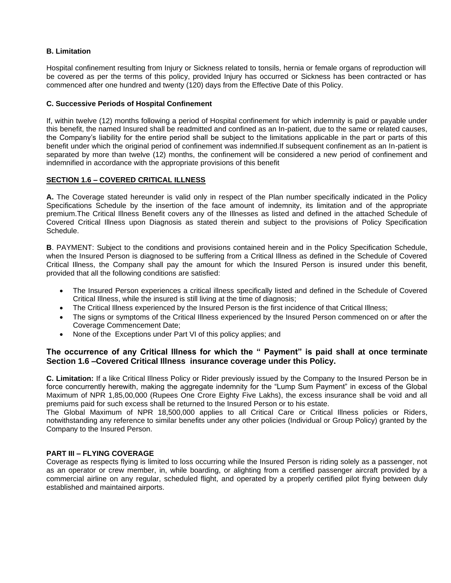### **B. Limitation**

Hospital confinement resulting from Injury or Sickness related to tonsils, hernia or female organs of reproduction will be covered as per the terms of this policy, provided Injury has occurred or Sickness has been contracted or has commenced after one hundred and twenty (120) days from the Effective Date of this Policy.

#### **C. Successive Periods of Hospital Confinement**

If, within twelve (12) months following a period of Hospital confinement for which indemnity is paid or payable under this benefit, the named Insured shall be readmitted and confined as an In-patient, due to the same or related causes, the Company's liability for the entire period shall be subject to the limitations applicable in the part or parts of this benefit under which the original period of confinement was indemnified.If subsequent confinement as an In-patient is separated by more than twelve (12) months, the confinement will be considered a new period of confinement and indemnified in accordance with the appropriate provisions of this benefit

### **SECTION 1.6 – COVERED CRITICAL ILLNESS**

**A.** The Coverage stated hereunder is valid only in respect of the Plan number specifically indicated in the Policy Specifications Schedule by the insertion of the face amount of indemnity, its limitation and of the appropriate premium.The Critical Illness Benefit covers any of the Illnesses as listed and defined in the attached Schedule of Covered Critical Illness upon Diagnosis as stated therein and subject to the provisions of Policy Specification Schedule.

**B**. PAYMENT: Subject to the conditions and provisions contained herein and in the Policy Specification Schedule, when the Insured Person is diagnosed to be suffering from a Critical Illness as defined in the Schedule of Covered Critical Illness, the Company shall pay the amount for which the Insured Person is insured under this benefit, provided that all the following conditions are satisfied:

- The Insured Person experiences a critical illness specifically listed and defined in the Schedule of Covered Critical Illness, while the insured is still living at the time of diagnosis;
- The Critical Illness experienced by the Insured Person is the first incidence of that Critical Illness;
- The signs or symptoms of the Critical Illness experienced by the Insured Person commenced on or after the Coverage Commencement Date;
- None of the Exceptions under Part VI of this policy applies; and

### **The occurrence of any Critical Illness for which the " Payment" is paid shall at once terminate Section 1.6 –Covered Critical Illness insurance coverage under this Policy.**

**C. Limitation:** If a like Critical Illness Policy or Rider previously issued by the Company to the Insured Person be in force concurrently herewith, making the aggregate indemnity for the "Lump Sum Payment" in excess of the Global Maximum of NPR 1,85,00,000 (Rupees One Crore Eighty Five Lakhs), the excess insurance shall be void and all premiums paid for such excess shall be returned to the Insured Person or to his estate.

The Global Maximum of NPR 18,500,000 applies to all Critical Care or Critical Illness policies or Riders, notwithstanding any reference to similar benefits under any other policies (Individual or Group Policy) granted by the Company to the Insured Person.

#### **PART III – FLYING COVERAGE**

Coverage as respects flying is limited to loss occurring while the Insured Person is riding solely as a passenger, not as an operator or crew member, in, while boarding, or alighting from a certified passenger aircraft provided by a commercial airline on any regular, scheduled flight, and operated by a properly certified pilot flying between duly established and maintained airports.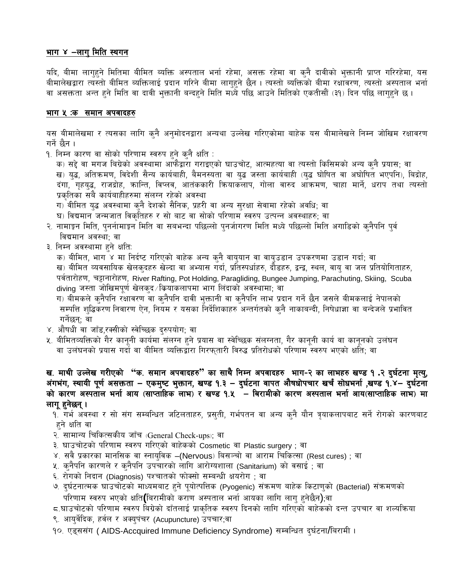# भाग ४ –लागु मिति स्थगन

यदि, बीमा लागुहुने मितिमा बीमित ब्यक्ति अस्पताल भर्ना रहेमा, असक्त रहेमा वा कुनै दावीको भुक्तानी प्राप्त गरिरहेमा, यस बीमालेखद्वारा त्यस्तो बीमित व्यक्तिलाई प्रदान गरिने बीमा लागुहने छैन । त्यस्तो ब्यक्तिको बीमा रक्षावरण, त्यस्तो अस्पताल भर्ना वा असक्तता अन्त हने मिति वा दावी भुक्तानी बन्दहने मिति मध्ये पछि आउने मितिको एकतीसौं (३१) दिन पछि लागहने छ ।

### भाग ५ :क समान अपवादहरु

यस बीमालेखमा र त्यसका लागि कुनै अनुमोदनद्वारा अन्यथा उल्लेख गरिएकोमा बाहेक यस बीमालेखले निम्न जोखिम रक्षावरण गर्ने छैन ।

<u> १. निम्न कारण वा सोको परिणाम स्वरुप हुने कुनै क्षति :</u>

क) सद्दे वा मगज बिग्रेको अवस्थामा आफैद्वारा गराइएको घाउचोट, आत्महत्या वा त्यस्तो किसिमको अन्य कुनै प्रयास; वा ख) युद्ध, अतिक्रमण, विदेशी सैन्य कार्यबाही, बैमनस्यता वा युद्ध जस्ता कार्यबाही (युद्ध घोषित वा अघोषित भएपनि), बिद्रोह, दंगा, गृहयुद्ध, राजद्रोह, कान्ति, विप्लव, आतंककारी कियाकलाप, गोला वारुद आक्रमण, चाहा मार्ने, धराप तथा त्यस्तो प्रकतिका सबै कार्यबाहीहरुमा संलग्न रहेको अवस्था

- ग) वीमित युद्ध अवस्थामा कुनै देशको सैनिक, प्रहरी वा अन्य सुरक्षा सेवामा रहेको अवधि; वा
- घ) विद्यमान जन्मजात विकृतिहरु र सो बाट वा सोको परिणाम स्वरुप उत्पन्न अवस्थाहरु; वा
- २. नामाङ्गन मिति, पुनर्नामाङ्गन मिति वा सबभन्दा पछिल्लो पुनर्जागरण मिति मध्ये पछिल्लो मिति अगाडिको कुनैपनि पुर्व विद्यमान अवस्था; वा
- ३. निम्न अवस्थामा हुने क्षति:

क) बीमित, भाग ४ मा निर्दष्ट गरिएको वाहेक अन्य कुनै वायुयान वा वायुउडान उपकरणमा उडान गर्दा; वा ख) बीमित व्यवसायिक खेलकुदहरु खेल्दा वा अभ्यास गर्दा, प्रतिस्पर्धाहरु, दौडहरु, द्वन्द्व, स्थल, वायु वा जल प्रतियोगिताहरु, पर्वतारोहण, चट्टानारोहण, River Rafting, Pot Holding, Paragliding, Bungee Jumping, Parachuting, Skiing, Scuba diving जस्ता जोखिमपूर्ण खेलकुद ⁄ कियाकलापमा भाग लिंदाको अवस्थामा; वा

ग) बीमकले कुनैपनि रक्षावरण वा कुनैपनि दावी भुक्तानी वा कुनैपनि लाभ प्रदान गर्ने छैन जसले बीमकलाई नेपालको सम्पत्ति शुद्धिकरण निवारण ऐन, नियम र यसका निर्देशिकाहरु अन्तर्गतको कुनै नाकाबन्दी, निषेधाज्ञा वा बन्देजले प्रभावित गर्नेछन्; वा

- ४. औषधी वा जाँड,रक्सीको स्वेच्छिक दुरुपयोग; वा
- ५. बीमितव्यक्तिको गैर कानूनी कार्यमा संलग्न हुने प्रयास वा स्वेच्छिक संलग्नता, गैर कानूनी कार्य वा कानूनको उलंघन वा उलंघनको प्रयास गर्दा वा बीमित व्यक्तिद्वारा गिरफ्तारी विरुद्ध प्रतिरोधको परिणाम स्वरुप भएको क्षति; वा

# ख. माथी उल्लेख गरीएको "क. समान अपवादहरु" का साथै निम्न अपवादहरु भाग-२ का लाभहरु खण्ड १.२ दुर्घटना मृत्यु, अंगभंग, स्थायी पूर्ण असक्तता – एकमुष्ट भुक्तान, खण्ड १.३ – दुर्घटना वापत औषधोपचार खर्चं सोधभर्ना ,खण्ड १.४– दुर्घटना को कारण अस्पताल भर्ना आय (साप्ताहिक लाभ) र खण्ड १.४ – बिरामीको कारण अस्पताल भर्ना आय(साप्ताहिक लाभ) मा लागू हुनेछन् ।

9. गर्भ अवस्था र सो संग सम्बन्धित जटिलताहरु, प्रसुती, गर्भपतन वा अन्य कुनै यौन त्रृयाकलापबाट सर्ने रोगको कारणबाट हने क्षति वा

- २. सामान्य चिकित्सकीय जॉच (General Check-ups); वा
- ३. घाउचोटको परिणाम स्वरुप गरिएको वाहेकको Cosmetic वा Plastic surgery ; वा
- ४. सवै प्रकारका मानसिक वा स्नायुविक –(Nervous) बिसञ्चो वा आराम चिकित्सा (Rest cures) ; वा
- ५. कुनैपनि कारणले र कुनैपनि उपचारको लागि आरोग्यशाला (Sanitarium) को वसाई ; वा
- ६. रोगको निदान (Diagnosis) पश्चातको फोक्सो सम्बन्धी क्षयरोग ; वा
- ७. दुर्घटनात्मक घाउचोटको माध्यमबाट हुने पूयोत्पत्तिक (Pyogenic) संक्रमण बाहेक किटाणुको (Bacterial) संक्रमणको परिणाम स्वरुप भएको क्षति(बिरामीको कराण अस्पताल भर्ना आयका लागि लागु हुनेछैन);वा

८.घाउचोटको परिणाम स्वरुप बिग्रेको दाँतलाई प्राकृतिक स्वरुप दिनको लागि गरिएको वाहेकको दन्त उपचार वा शल्यक्रिया

९. आयुर्वेदिक, हर्वल र अक्युपंचर (Acupuncture) उपचार;वा

१०. एड्ससंग ( AIDS-Accquired Immune Deficiency Syndrome) सम्वन्धित दुर्घटना/बिरामी ।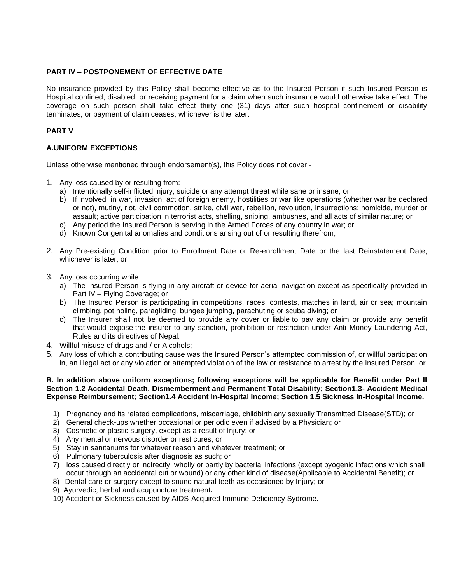#### **PART IV – POSTPONEMENT OF EFFECTIVE DATE**

No insurance provided by this Policy shall become effective as to the Insured Person if such Insured Person is Hospital confined, disabled, or receiving payment for a claim when such insurance would otherwise take effect. The coverage on such person shall take effect thirty one (31) days after such hospital confinement or disability terminates, or payment of claim ceases, whichever is the later.

### **PART V**

### **A.UNIFORM EXCEPTIONS**

Unless otherwise mentioned through endorsement(s), this Policy does not cover -

- 1. Any loss caused by or resulting from:
	- a) Intentionally self-inflicted injury, suicide or any attempt threat while sane or insane; or
	- b) If involved in war, invasion, act of foreign enemy, hostilities or war like operations (whether war be declared or not), mutiny, riot, civil commotion, strike, civil war, rebellion, revolution, insurrections; homicide, murder or assault; active participation in terrorist acts, shelling, sniping, ambushes, and all acts of similar nature; or
	- c) Any period the Insured Person is serving in the Armed Forces of any country in war; or
	- d) Known Congenital anomalies and conditions arising out of or resulting therefrom;
- 2. Any Pre-existing Condition prior to Enrollment Date or Re-enrollment Date or the last Reinstatement Date, whichever is later; or
- 3. Any loss occurring while:
	- a) The Insured Person is flying in any aircraft or device for aerial navigation except as specifically provided in Part IV – Flying Coverage; or
	- b) The Insured Person is participating in competitions, races, contests, matches in land, air or sea; mountain climbing, pot holing, paragliding, bungee jumping, parachuting or scuba diving; or
	- c) The Insurer shall not be deemed to provide any cover or liable to pay any claim or provide any benefit that would expose the insurer to any sanction, prohibition or restriction under Anti Money Laundering Act, Rules and its directives of Nepal.
- 4. Willful misuse of drugs and / or Alcohols;
- 5. Any loss of which a contributing cause was the Insured Person's attempted commission of, or willful participation in, an illegal act or any violation or attempted violation of the law or resistance to arrest by the Insured Person; or

#### **B. In addition above uniform exceptions; following exceptions will be applicable for Benefit under Part II Section 1.2 Accidental Death, Dismemberment and Permanent Total Disability; Section1.3- Accident Medical Expense Reimbursement; Section1.4 Accident In-Hospital Income; Section 1.5 Sickness In-Hospital Income.**

- 1) Pregnancy and its related complications, miscarriage, childbirth,any sexually Transmitted Disease(STD); or
- 2) General check-ups whether occasional or periodic even if advised by a Physician; or
- 3) Cosmetic or plastic surgery, except as a result of Injury; or
- 4) Any mental or nervous disorder or rest cures; or
- 5) Stay in sanitariums for whatever reason and whatever treatment; or
- 6) Pulmonary tuberculosis after diagnosis as such; or
- 7) loss caused directly or indirectly, wholly or partly by bacterial infections (except pyogenic infections which shall occur through an accidental cut or wound) or any other kind of disease(Applicable to Accidental Benefit); or
- 8) Dental care or surgery except to sound natural teeth as occasioned by Injury; or
- 9) Ayurvedic, herbal and acupuncture treatment**.**
- 10) Accident or Sickness caused by AIDS-Acquired Immune Deficiency Sydrome.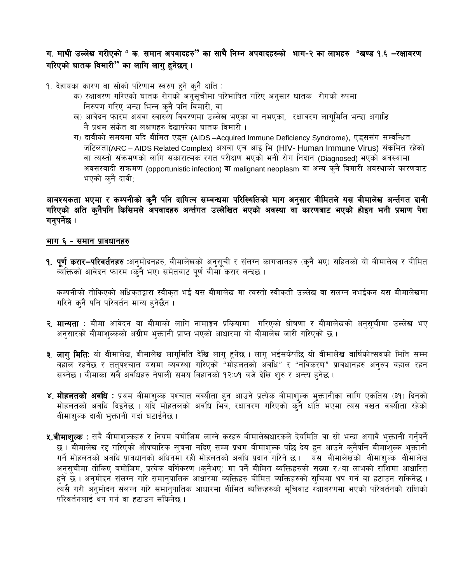# ग. माथी उल्लेख गरीएको " क. समान अपवादहरु" का साथै निम्न अपवादहरुको भाग-२ का लाभहरु "खण्ड १.६ –रक्षावरण गरिएको घातक विमारी" का लागि लागु हुनेछन्।

१. देहायका कारण वा सोको परिणाम स्वरुप हुने कुनै क्षति :

- क) रक्षावरण गरिएको घातक रोगको अनुसुचीमा परिभाषित गरिए अनुसार घातक रोगको रुपमा निरुपण गरिए भन्दा भिन्न कुनै पनि विमारी, वा
- ख) आवेदन फारम अथवा स्वास्थ्य विवरणमा उल्लेख भएका वा नभएका, रक्षावरण लागूमिति भन्दा अगाडि नै प्रथम संकेत वा लक्षणहरु देखापरेका घातक विमारी ।
- ग) दावीको समयमा यदि बीमित एड्स (AIDS -Acquired Immune Deficiency Syndrome), एड्ससंग सम्वन्धित जटिलता(ARC – AIDS Related Complex) अथवा एच आइ भि (HIV- Human Immune Virus) संक्रमित रहेको वा त्यस्तो संक्रमणको लागि सकारात्मक रगत परीक्षण भएको भनी रोग निदान (Diagnosed) भएको अवस्थामा अवसरवादी संक्रमण (opportunistic infection) वा malignant neoplasm वा अन्य कुनै विमारी अवस्थाको कारणबाट भएको कनै दावी:

# आवश्यकता भएमा र कम्पनीको कुनै पनि दायित्व सम्बन्धमा परिस्थितिको माग अनुसार वीमितले यस बीमालेख अर्न्तगत दावी गरिएको क्षति कुनैपनि किसिमले अपवादहरु अर्न्तगत उल्लेखित भएको अवस्था वा कारणबाट भएको होइन भनी प्रमाण पेश गनुपर्नेछ ।

### भाग ६ - समान प्रावधानहरु

**१. पूर्ण करार−परिवर्तनहरु** :अनुमोदनहरु, बीमालेखको अनुसूची र संलग्न कागजातहरु (कुनै भए) सहितको यो बीमालेख र बीमित व्यक्तिको आवेदन फारम (कनै भए) समेतबाट पर्ण बीमा करार बन्दछ ।

कम्पनीको तोकिएको अधिकृतद्वारा स्वीकृत भई यस बीमालेख मा त्यस्तो स्वीकृती उल्लेख वा संलग्न नभईकन यस बीमालेखमा गरिने कनै पनि परिवर्तन मान्य हनेछैन ।

- <mark>२. मान्यता</mark> : बीमा आवेदन वा बीमाको लागि नामाङ्कन प्रकियामा गरिएको घोषणा र बीमालेखको अनुसुचीमा उल्लेख भए अनसारको बीमाशल्कको अग्रीम भक्तानी प्राप्त भएको आधारमा यो बीमालेख जारी गरिएको छ ।
- <mark>३. लागु मिति</mark>: यो बीमालेख, बीमालेख लागुमिति देखि लागु हुनेछ । लागु भईसकेपछि यो बीमालेख वार्षिकोत्सवको मिति सम्म बहाल रहनेछ र ततपश्चात यसमा व्यवस्था गरिएको "मोहलतको अवधि" र "नविकरण" प्रावधानहरु अनरुप बहाल रहन सक्नेछ । बीमाका सबै अवधिहरु नेपाली समय बिहानको १२:०१ बजे देखि शुरु र अन्त्य हुनेछ ।
- ४. मोहलतको अवधि : प्रथम बीमाशुल्क पश्चात वक्यौता हुन आउने प्रत्येक बीमाशुल्क भुक्तानीका लागि एकतिस (३१) दिनको मोहलतको अवधि दिइनेछ । यदि मोहतलको अवधि भित्र, रक्षावरण गरिएको कुनै क्षति भएमा त्यस वखत वक्यौता रहेको बीमाशुल्क दावी भुक्तानी गर्दा घटाईनेछ ।
- **४.बीमाशुल्क** : सबै बीमाशुल्कहरु र नियम बमोजिम लाग्ने करहरु बीमालेखधारकले देयमिति वा सो भन्दा अगावै भुक्तानी गर्नुपर्ने छ । बीमालेख रद्द गरिएको औपचारिक सूचना नदिए सम्म प्रथम बीमाशुल्क पछि देय हुन आउने कुनैपनि बीमाशुल्क भुक्तानी गर्ने मोहलतको अवधि प्रावधानको अधिनमा रही मोहलतको अवधि प्रदान गरिने छ। यस बीमालेखको बीमाशुल्क बीमालेख अनुसूचीमा तोकिए बमोजिम, प्रत्येक वर्गिकरण (कुनैभए) मा पर्ने बीमित ब्यक्तिहरुको संख्या र ∕वा लाभको राशिमा आधारित हुने छै । अनुमोदन संलग्न गरि समानुपातिक आधारमा ब्यक्तिहरु बीमित ब्यक्तिहरुको सुचिमा थप गर्न वा हटाउन सकिनेछ । त्यसै गरी अनुमोदन संलग्न गरि समानुपातिक आधारमा बीमित व्यक्तिहरुको सचिवाट रॅक्षावरणमा भएको परिवर्तनको राशिको परिवर्तनलाई थप गर्न वा हटाउन सकिनेछ ।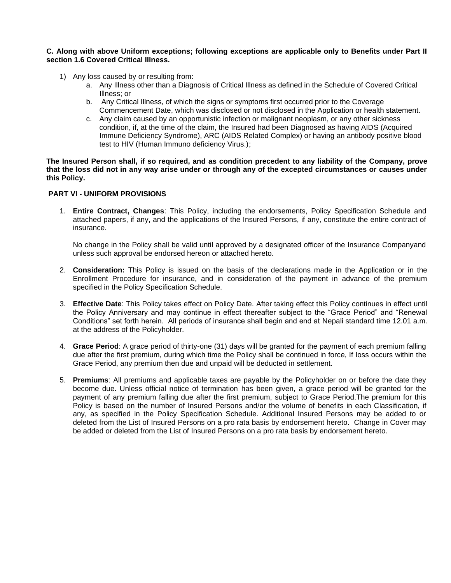#### **C. Along with above Uniform exceptions; following exceptions are applicable only to Benefits under Part II section 1.6 Covered Critical Illness.**

- 1) Any loss caused by or resulting from:
	- a. Any Illness other than a Diagnosis of Critical Illness as defined in the Schedule of Covered Critical Illness; or
	- b. Any Critical Illness, of which the signs or symptoms first occurred prior to the Coverage Commencement Date, which was disclosed or not disclosed in the Application or health statement.
	- c. Any claim caused by an opportunistic infection or malignant neoplasm, or any other sickness condition, if, at the time of the claim, the Insured had been Diagnosed as having AIDS (Acquired Immune Deficiency Syndrome), ARC (AIDS Related Complex) or having an antibody positive blood test to HIV (Human Immuno deficiency Virus.);

**The Insured Person shall, if so required, and as condition precedent to any liability of the Company, prove that the loss did not in any way arise under or through any of the excepted circumstances or causes under this Policy.**

#### **PART VI - UNIFORM PROVISIONS**

1. **Entire Contract, Changes**: This Policy, including the endorsements, Policy Specification Schedule and attached papers, if any, and the applications of the Insured Persons, if any, constitute the entire contract of insurance.

No change in the Policy shall be valid until approved by a designated officer of the Insurance Companyand unless such approval be endorsed hereon or attached hereto.

- 2. **Consideration:** This Policy is issued on the basis of the declarations made in the Application or in the Enrollment Procedure for insurance, and in consideration of the payment in advance of the premium specified in the Policy Specification Schedule.
- 3. **Effective Date**: This Policy takes effect on Policy Date. After taking effect this Policy continues in effect until the Policy Anniversary and may continue in effect thereafter subject to the "Grace Period" and "Renewal Conditions" set forth herein. All periods of insurance shall begin and end at Nepali standard time 12.01 a.m. at the address of the Policyholder.
- 4. **Grace Period**: A grace period of thirty-one (31) days will be granted for the payment of each premium falling due after the first premium, during which time the Policy shall be continued in force, If loss occurs within the Grace Period, any premium then due and unpaid will be deducted in settlement.
- 5. **Premiums**: All premiums and applicable taxes are payable by the Policyholder on or before the date they become due. Unless official notice of termination has been given, a grace period will be granted for the payment of any premium falling due after the first premium, subject to Grace Period.The premium for this Policy is based on the number of Insured Persons and/or the volume of benefits in each Classification, if any, as specified in the Policy Specification Schedule. Additional Insured Persons may be added to or deleted from the List of Insured Persons on a pro rata basis by endorsement hereto. Change in Cover may be added or deleted from the List of Insured Persons on a pro rata basis by endorsement hereto.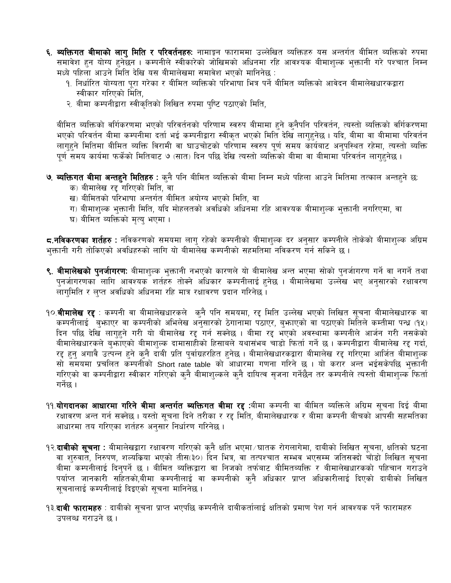- ६. व्यक्तिगत बीमाको लागु मिति र परिवर्तनहरुः नामाङ्गन फाराममा उल्लेखित व्यक्तिहरु यस अन्तर्गत बीमित ब्यक्तिको रुपमा समावेश हुन योग्य हुनेछन । कम्पनीले स्वीकारेको जोखिमको अधिनमा रहि आवश्यक बीमाशुल्क भुक्तानी गरे पश्चात निम्न मध्ये पहिला आउने मिति देखि यस बीमालेखमा समावेश भएको मानिनेछ :
	- १. निर्धारित योग्यता पुरा गरेका र बीमित ब्यक्तिको परिभाषा भित्र पर्ने बीमित ब्यक्तिको आवेदन बीमालेखधारकद्वारा स्वीकार गरिएको मिति,
	- २. बीमा कम्पनीद्वारा स्वीकृतिको लिखित रुपमा पुष्टि पठाएको मिति,

बीमित ब्यक्तिको वर्गिकरणमा भएको परिवर्तनको परिणाम स्वरुप बीमामा हुने कुनैपनि परिवर्तन, त्यस्तो ब्यक्तिको वर्गिकरणमा भएको परिवर्तन बीमा कम्पनीमा दर्ता भई कम्पनीद्वारा स्वीकृत भएको मिति देखि लागहुनेछ । यदि, बीमा वा बीमामा परिवर्तन लागहने मितिमा बीमित ब्यक्ति विरामी वा घाउचोटको परिणाम स्वरुप पर्ण समय कार्यबाट अनुपस्थित रहेमा, त्यस्तो ब्यक्ति <u>पर्ण समय कार्यमा फर्केको मितिबाट ७ (सात) दिन पछि देखि त्यस्तो ब्यक्तिको बीमा वा बीमामा परिवर्तन लागहुनेछ ।</u>

- **७. ब्यक्तिगत बीमा अन्तहुने मितिहरु** : कुनै पनि बीमित ब्यक्तिको बीमा निम्न मध्ये पहिला आउने मितिमा तत्काल अन्तहुने छ:
	- क) बीमालेख रद्द गरिएको मिति, वा
	- ख) बीमितको परिभाषा अन्तर्गत बीमित अयोग्य भएको मिति, वा
	- ग) बीमाशुल्क भुक्तानी मिति, यदि मोहलतको अवधिको अधिनमा रहि आवश्यक बीमाशुल्क भुक्तानी नगरिएमा, वा
	- घ) बीमित ब्यक्तिको मृत्यु भएमा ।

<mark>द्र.नविकरणका शर्तहरु</mark> : नविकरणको समयमा लाग् रहेको कम्पनीको बीमाशुल्क दर अनुसार कम्पनीले तोकेको बीमाशुल्क अग्रिम भुक्तानी गरी तोकिएको अवधिहरुको लागि यो बीमालेख कम्पनीको सहमतिमा नविकरण गर्न सकिने छ ।

- ९. **बीमालेखको पुनर्जागरण:** बीमाशुल्क भुक्तानी नभएको कारणले यो बीमालेख अन्त भएमा सोको पुनर्जागरण गर्ने वा नगर्ने तथा पुनर्जागरणका लागि आवश्यक शर्तहरु तोक्ने अधिकार कम्पनीलाई हुनेछ । बीमालेखमा उल्लेख भए अनुसारको रक्षावरण लागमिति र लप्त अवधिको अधिनमा रहि मात्र रक्षावरण प्रदान गरिनेछ ।
- १०.**बीमालेख रद्द** : कम्पनी वा बीमालेखधारकले क्नै पनि समयमा, रद्द मिति उल्लेख भएको लिखित सूचना बीमालेखधारक वा कम्पनीलाई बुभाएर वा कम्पनीको अभिलेख अनुसारको ठेगानामा पठाएर, बुभाएको वा पठाएको मितिले कम्तीमा पन्ध (१५) दिन पछि देखि लागुहुने गरी यो बीमालेख रद्द गर्न सक्नेछ । बीमा रद्द भएको अवस्थामा कम्पनीले आर्जन गरी नसकेको बीमालेखधारकले बुफाएको बीमाशुल्क दामासाहीको हिसाबले यथासंभब चाडो फिर्ता गर्ने छ । कम्पनीद्वारा बीमालेख रद्द गर्दा, रद्द हुन् अगावै उत्पन्न हुने कुनै दाबी प्रति पुर्वाग्रहरहित हुनेछ । बीमालेखधारकद्वारा बीमालेख रद्द गरिएमा आर्जित बीमाशुल्क सो समयमा प्रचलित कम्पनीको Short rate table को आधारमा गणना गरिने छ । यो करार अन्त भईसकेपछि भुक्तानी गरिएको वा कम्पनीद्वारा स्वीकार गरिएको कुनै बीमाशुल्कले कुनै दायित्व सुजना गर्नेछैन तर कम्पनीले त्यस्तो बीमाशुल्क फिर्ता गर्नेछ ।
- ११.**योगदानका आधारमा गरिने बीमा अन्तर्गत ब्यक्तिगत बीमा रद्द** :बीमा कम्पनी वा बीमित ब्यक्तिले अग्रिम सूचना दिई बीमा रक्षावरण अन्त गर्न सक्नेछ । यस्तो सूचना दिने तरीका र रद्द मिति, बीमालेखधारक र बीमा कम्पनी बीचको आपसी सहमतिका आधारमा तय गरिएका शर्तहरु अनुसार निर्धारण गरिनेछ ।
- १२.**दाबीको सूचना** : बीमालेखद्वारा रक्षावरण गरिएको कुनै क्षति भएमा ∕ घातक रोगलागेमा, दाबीको लिखित सूचना, क्षतिको घटना वा शुरुवात, निरुपण, शल्यकिया भएको तीस(३०) दिन भित्र, वा तत्पश्चात सम्भव भएसम्म जतिसक्दो चाँडो लिखित सूचना बीमा कम्पनीलाई दिनुपर्ने छ । बीमित ब्यक्तिद्वारा वा निजको तर्फबाट बीमितब्यक्ति र बीमालेखधारकको पहिचान गराउने .<br>पर्याप्त जानकारी सहितको,बीमा कम्पनीलाई वा कम्पनीको कुनै अधिकार प्राप्त अधिकारीलाई दिएको दाबीको लिखित सूचनालाई कम्पनीलाई दिइएको सूचना मानिनेछ।
- १३.**दाबी फारामहरु** : दाबीको सूचना प्राप्त भएपछि कम्पनीले दाबीकर्तालाई क्षतिको प्रमाण पेश गर्न आवश्यक पर्ने फारामहरु उपलब्ध गराउने छ ।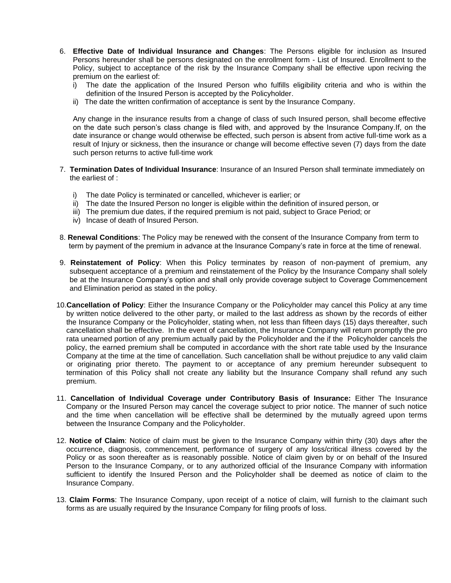- 6. **Effective Date of Individual Insurance and Changes**: The Persons eligible for inclusion as Insured Persons hereunder shall be persons designated on the enrollment form - List of Insured. Enrollment to the Policy, subject to acceptance of the risk by the Insurance Company shall be effective upon reciving the premium on the earliest of:
	- i) The date the application of the Insured Person who fulfills eligibility criteria and who is within the definition of the Insured Person is accepted by the Policyholder.
	- ii) The date the written confirmation of acceptance is sent by the Insurance Company.

Any change in the insurance results from a change of class of such Insured person, shall become effective on the date such person's class change is filed with, and approved by the Insurance Company.If, on the date insurance or change would otherwise be effected, such person is absent from active full-time work as a result of Injury or sickness, then the insurance or change will become effective seven (7) days from the date such person returns to active full-time work

- 7. **Termination Dates of Individual Insurance**: Insurance of an Insured Person shall terminate immediately on the earliest of :
	- i) The date Policy is terminated or cancelled, whichever is earlier; or
	- ii) The date the Insured Person no longer is eligible within the definition of insured person, or
	- iii) The premium due dates, if the required premium is not paid, subject to Grace Period; or
	- iv) Incase of death of Insured Person.
- 8. **Renewal Conditions**: The Policy may be renewed with the consent of the Insurance Company from term to term by payment of the premium in advance at the Insurance Company's rate in force at the time of renewal.
- 9. **Reinstatement of Policy**: When this Policy terminates by reason of non-payment of premium, any subsequent acceptance of a premium and reinstatement of the Policy by the Insurance Company shall solely be at the Insurance Company's option and shall only provide coverage subject to Coverage Commencement and Elimination period as stated in the policy.
- 10.**Cancellation of Policy**: Either the Insurance Company or the Policyholder may cancel this Policy at any time by written notice delivered to the other party, or mailed to the last address as shown by the records of either the Insurance Company or the Policyholder, stating when, not less than fifteen days (15) days thereafter, such cancellation shall be effective. In the event of cancellation, the Insurance Company will return promptly the pro rata unearned portion of any premium actually paid by the Policyholder and the if the Policyholder cancels the policy, the earned premium shall be computed in accordance with the short rate table used by the Insurance Company at the time at the time of cancellation. Such cancellation shall be without prejudice to any valid claim or originating prior thereto. The payment to or acceptance of any premium hereunder subsequent to termination of this Policy shall not create any liability but the Insurance Company shall refund any such premium.
- 11. **Cancellation of Individual Coverage under Contributory Basis of Insurance:** Either The Insurance Company or the Insured Person may cancel the coverage subject to prior notice. The manner of such notice and the time when cancellation will be effective shall be determined by the mutually agreed upon terms between the Insurance Company and the Policyholder.
- 12. **Notice of Claim**: Notice of claim must be given to the Insurance Company within thirty (30) days after the occurrence, diagnosis, commencement, performance of surgery of any loss/critical illness covered by the Policy or as soon thereafter as is reasonably possible. Notice of claim given by or on behalf of the Insured Person to the Insurance Company, or to any authorized official of the Insurance Company with information sufficient to identify the Insured Person and the Policyholder shall be deemed as notice of claim to the Insurance Company.
- 13. **Claim Forms**: The Insurance Company, upon receipt of a notice of claim, will furnish to the claimant such forms as are usually required by the Insurance Company for filing proofs of loss.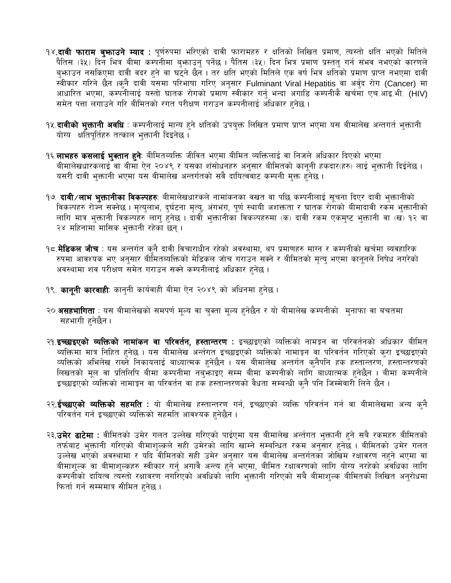- १४.**दावी फाराम बुभनाउने म्याद** : पूर्णरुपमा भरिएको दावी फारामहरु र क्षतिको लिखित प्रमाण, त्यस्तो क्षति भएको मितिले पैतिस (३५) दिन भित्र बीमा कम्पनीमा बुभाउनु पर्नेछ । पैतिस (३५) दिन भित्र प्रमाण प्रस्ततु गर्न संभव नभएको कारणले बुफ़ाउन नसकिएमा दावी वदर हुने वा घटुने छैन । तर क्षति भएको मितिले एक वर्ष भित्र क्षतिको प्रमाण प्राप्त नभएमा दावी स्वीकार गरिने छैन ।कुनै दावी यसमा परिभाषा गरिए अनुसार Fulminant Viral Hepatitis वा अर्वुद रोग (Cancer) मा आधारित भएमा, कम्पनीलाई यस्तो घातक रोगको प्रमाण स्वीकार गर्नु भन्दा अगाडि कम्पनीकै खर्चमा एच.आइ.भी. (HIV) समेत पत्ता लगाउने गरि बीमितको रगत परीक्षण गराउन कम्पनीलाई अधिकार हनेछ ।
- १५.**दावीको भुक्तानी अवधि** : कम्पनीलाई मान्य हुने क्षतिको उपयुक्त लिखित प्रमाण प्राप्त भएमा यस बीमालेख अन्तगर्त भुक्तानी योग्य क्षतिपर्तिहरु तत्काल भक्तानी दिइनेछ।
- १६.**लाभहरु कसलाई भुक्तान हुने**: बीमितब्यक्ति जीवित भएमा बीमित व्यक्तिलाई वा निजले अधिकार दिएको भएमा बीमालेखधारकलाई वा बीमा ऐन २०४९ र यसका शंसोधनहरु अनुसार बीमितको कानूनी हकदार(हरु) लाई भुक्तानी दिईनेछ । यसरी दावी भुक्तानी भएमा यस बीमालेख अन्तर्गतको सवै दायित्ववाट कम्पनी मुक्त हुनेछ ।
- १७. **दावी ∕लाभ भुक्तानीका विकल्पहरु**ः बीमालेखधारकले नामांकनका वखत वा पछि कम्पनीलाई सूचना दिएर दावी भुक्तानीको विकल्पहरु रोज्न सक्नेछ । मृत्युलाभ, दुर्घटना मृत्यु, अंगभंग, पूर्ण स्थायी अशक्तता र घातक रोगको बीमादावी रकम भुक्तानीको लागि मात्र भुक्तानी विकल्पहरु लागु हुनेछ । दावीँ भुक्तानीका विकल्पहरुमा (क) दावी रकम एकमुष्ट भुक्तानी वा (ख) १२ वा २४ महिनामाँ मासिक भुक्तानी रहेका छन्।
- १८.**मेडिकल जाँच**ः यस अन्तर्गत कुनै दावी विचाराधीन रहेको अवस्थामा, थप प्रमाणहरु माग्न र कम्पनीको खर्चमा ब्यवहारिक रुपमा आवश्यक भए अनुसार बीमितब्यक्तिको मेडिकल जाँच गराउन सक्ने र बीमितको मृत्यु भएमा कानुनले निषेध नगरेको अवस्थामा शव परीक्षण समेत गराउन सक्ने कम्पनीलाई अधिकार हनेछ ।
- १९. कानूनी कारवाही: कानुनी कार्यवाही बीमा ऐन २०४९ को अधिनमा हनेछ ।
- २०.**असहभागिता** : यस बीमालेखको समपर्ण मुल्य वा चुक्ता मुल्य हुनेछैन र यो बीमालेख कम्पनीको मुनाफा वा बचतमा सहभागी हनेछैन ।
- २१.इच्छाइएको व्यक्तिको नामांकन वा परिवर्तन, हस्तान्तरण : इच्छाइएको व्यक्तिको नामङ्गन वा परिवर्तनको अधिकार बीमित ब्यक्तिमा मात्र निहित हुनेछ । यस बीमालेख अर्न्तगत इच्छाइएको व्यक्तिको नामाङ्गन वा परिवर्तन गरिएको कुरा इच्छाइएको व्यक्तिको अभिलेख राख्ने निकायलाई बाध्यात्मक हुनेछैन । यस बीमालेख अन्तर्गत कुनैपनि हक हस्तान्तरण, हस्तान्तरणको लिखतको मूल वा प्रतिलिपि बीमा कम्पनीमा नबुफ्ताइए सम्म बीमा कम्पनीको लागि बाध्यात्मक हुनेछैन । बीमा कम्पनीले इच्छाइएको व्यक्तिको नामाङ्गन वा परिवर्तन वा हक हस्तान्तरणको वैधता सम्बन्धी कुनै पनि जिम्मेवारी लिने छैन ।
- २२.**ईच्छाएको व्यक्तिको सहमति** : यो बीमालेख हस्तान्तरण गर्न, इच्छाएको व्यक्ति परिवर्तन गर्न वा बीमालेखमा अन्य क्**नै** परिवर्तन गर्न इच्छाएको व्यक्तिको सहमति आवश्यक हुनेछैन ।
- २३.**उमेर ढाटेमा** : वीमितको उमेर गलत उल्लेख गरिएको पाईएमा यस बीमालेख अर्न्तगत भुक्तानी हुने सबै रकमहरु बीमितको .<br>तर्फबाट भुक्तानी गरिएको बीमाशुल्कले सही उमेरको लागि खाम्ने सम्बन्धित रकम अनुसार हुनेछ । बीमितको उमेर गलत उल्लेख भएको अवस्थामा र यदि वीमितको सही उमेर अनुसार यस बीमालेख अन्तर्गतका जोखिम रक्षावरण नहुने भएमा वा बीमाशुल्क वा बीमाशुल्कहरु स्वीकार गर्नु अगावै अन्त्य हुने भएमा, बीमित रक्षावरणको लागि योग्य नरहेको अवधिका लागि कम्पनीको दायित्व त्यस्तो रक्षावरण नगरिएको अवधिको लागि भुक्तानी गरिएको सबै बीमाशुल्क बीमितको लिखित अनुरोधमा फिर्ता गर्न सम्ममात्र सीमित हनेछ।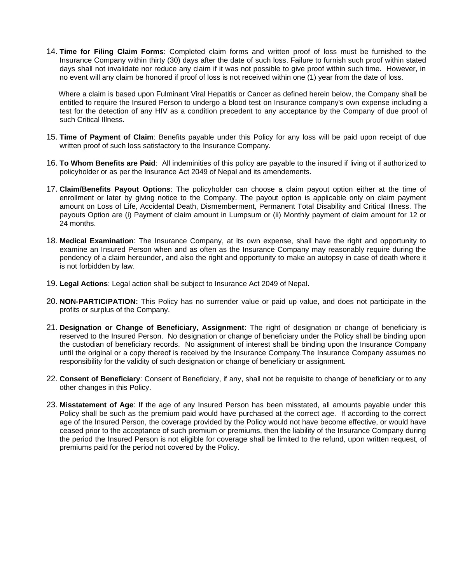14. **Time for Filing Claim Forms**: Completed claim forms and written proof of loss must be furnished to the Insurance Company within thirty (30) days after the date of such loss. Failure to furnish such proof within stated days shall not invalidate nor reduce any claim if it was not possible to give proof within such time. However, in no event will any claim be honored if proof of loss is not received within one (1) year from the date of loss.

 Where a claim is based upon Fulminant Viral Hepatitis or Cancer as defined herein below, the Company shall be entitled to require the Insured Person to undergo a blood test on Insurance company's own expense including a test for the detection of any HIV as a condition precedent to any acceptance by the Company of due proof of such Critical Illness.

- 15. **Time of Payment of Claim**: Benefits payable under this Policy for any loss will be paid upon receipt of due written proof of such loss satisfactory to the Insurance Company.
- 16. **To Whom Benefits are Paid**: All indeminities of this policy are payable to the insured if living ot if authorized to policyholder or as per the Insurance Act 2049 of Nepal and its amendements.
- 17. **Claim/Benefits Payout Options**: The policyholder can choose a claim payout option either at the time of enrollment or later by giving notice to the Company. The payout option is applicable only on claim payment amount on Loss of Life, Accidental Death, Dismemberment, Permanent Total Disability and Critical Illness. The payouts Option are (i) Payment of claim amount in Lumpsum or (ii) Monthly payment of claim amount for 12 or 24 months.
- 18. **Medical Examination**: The Insurance Company, at its own expense, shall have the right and opportunity to examine an Insured Person when and as often as the Insurance Company may reasonably require during the pendency of a claim hereunder, and also the right and opportunity to make an autopsy in case of death where it is not forbidden by law.
- 19. **Legal Actions**: Legal action shall be subject to Insurance Act 2049 of Nepal.
- 20. **NON-PARTICIPATION:** This Policy has no surrender value or paid up value, and does not participate in the profits or surplus of the Company.
- 21. **Designation or Change of Beneficiary, Assignment**: The right of designation or change of beneficiary is reserved to the Insured Person. No designation or change of beneficiary under the Policy shall be binding upon the custodian of beneficiary records. No assignment of interest shall be binding upon the Insurance Company until the original or a copy thereof is received by the Insurance Company.The Insurance Company assumes no responsibility for the validity of such designation or change of beneficiary or assignment.
- 22. **Consent of Beneficiary**: Consent of Beneficiary, if any, shall not be requisite to change of beneficiary or to any other changes in this Policy.
- 23. **Misstatement of Age**: If the age of any Insured Person has been misstated, all amounts payable under this Policy shall be such as the premium paid would have purchased at the correct age. If according to the correct age of the Insured Person, the coverage provided by the Policy would not have become effective, or would have ceased prior to the acceptance of such premium or premiums, then the liability of the Insurance Company during the period the Insured Person is not eligible for coverage shall be limited to the refund, upon written request, of premiums paid for the period not covered by the Policy.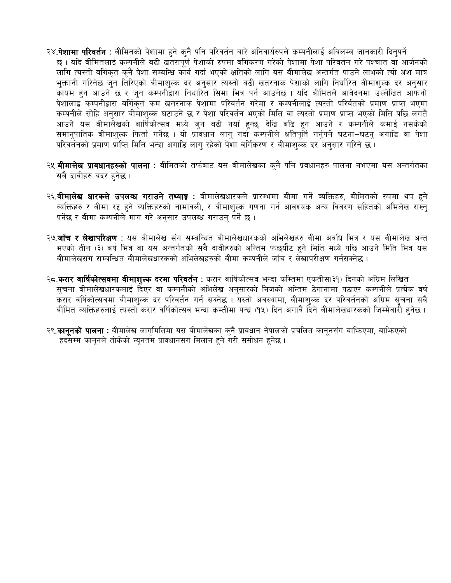- २४.**पेशामा परिवर्तन** : बीमितको पेशामा हुने कुनै पनि परिवर्तन बारे अनिवार्यरुपले कम्पनीलाई अबिलम्ब जानकारी दिनुपर्ने छ । यदि बीमितलाई कम्पनीले बढी खतरापूर्ण पेशाको रुपमा बर्गिकरण गरेको पेशामा पेशा परिवर्तन गरे पश्चात वा आर्जनको लागि त्यस्तो बर्गिकृत कुनै पेशा सम्बन्धि कार्य गर्दा भएको क्षतिको लागि यस बीमालेख अन्तर्गत पाउने लाभको त्यो अंश मात्र भुक्तानी गरिनेछ जुन तिरिएको बीमाशुल्क दर अनुसार त्यस्तो बढी खतरनाक पेशाको लागि निर्धारित बीमाशुल्क दर अनुसार कायम हुन आउने छ र जुन कम्पनीद्वारा निधारित सिमा भित्र पर्न आउनेछ । यदि बीमितले आवेदनमा उल्लेखित आफनो पेशालाइँ कम्पनीद्वारा बर्गिकृत कम खतरनाक पेशामा परिवर्तन गरेमा र कम्पनीलाई त्यस्तो परिर्वतको प्रमाण प्राप्त भएमा कम्पनीले सोहि अनुसार बीमाशुल्क घटाउने छ र पेशा परिवर्तन भएको मिति वा त्यस्तो प्रमाण प्राप्त भएको मिति पछि लगतै आउने यस बीमालेखको बार्षिकोत्सव मध्ये जुन बढी नयाँ हुन्छ, देखि बढि हुन आउने र कम्पनीले कमाई नसकेको समानुपातिक बीमाशुल्क फिर्ता गर्नेछ । यो प्रावधान लागु गर्दा कम्पनीले क्षतिपूर्ति गर्नुपर्ने घटना–घटन् अगाडि वा पेशा परिवर्तनको प्रमाण प्राप्ति मिति भन्दा अगाडि लागु रहेको पेशा वर्गिकरण र बीमाशुल्के दर अनुसार गरिने छ ।
- २५.**बीमालेख प्रावधानहरुको पालना** : बीमितको तर्फबाट यस बीमालेखका कुनै पनि प्रवधानहरु पालना नभएमा यस अन्तर्गतका सबै दावीहरु बदर हनेछ ।
- २६.**बीमालेख धारकले उपलब्ध गराउने तथ्याङ्ग** : बीमालेखधारकले प्रारम्भमा बीमा गर्ने ब्यक्तिहरु, बीमितको रुपमा थप हुने व्यक्तिहरु र बीमा रद्द हुने ब्यक्तिहरुको नामावली, र बीमाशुल्क गणना गर्न आवश्यक अन्य विवरण सहितको अभिलेख राख्न् पर्नेछ र बीमा कम्पनीले माग गरे अनुसार उपलब्ध गराउन पर्ने छ ।
- २७.**जाँच र लेखापरिक्षण** : यस बीमालेख संग सम्बन्धित बीमालेखधारकको अभिलेखहरु बीमा अवधि भित्र र यस बीमालेख अन्त भएको तीन (३) बर्ष भित्र वा यस अन्तर्गतको सबै दावीहरुको अन्तिम फछर्यौट हुने मिति मध्ये पछि आउने मिति भित्र यस बीमालेखसंग सम्बन्धित बीमालेखधारकको अभिलेखहरुको बीमा कम्पनीले जाँच र लेखापरीक्षण गर्नसक्नेछ ।
- २८.करार वार्षिकोत्सवमा बीमाशुल्क दरमा परिवर्तन : करार वार्षिकोत्सव भन्दा कम्तिमा एकतीस(३१) दिनको अग्रिम लिखित सुचना बीमालेखधारकलाई दिएर वा कम्पनीको अभिलेख अनुसारको निजको अन्तिम ठेगानामा पठाएर कम्पनीले प्रत्येक वर्ष करार वर्षिकोत्सवमा बीमाशुल्क दर परिवर्तन गर्न सक्नेछ । यस्तो अवस्थामा, बीमाशुल्क दर परिवर्तनको अग्रिम सूचना सबै बीमित ब्यक्तिहरुलाई त्यस्तो करार वर्षिकोत्सव भन्दा कम्तीमा पन्ध (१५) दिन अगावै दिने बीमालेखधारकको जिम्मेवारी हनेछ।
- २९.कानूनको पालना : बीमालेख लागुमितिमा यस बीमालेखका कुनै प्रावधान नेपालको प्रचलित कानूनसंग बाफिएमा, बाफिएको हदसम्म कानुनले तोकेको न्युनतम प्रावधानसंग मिलान हुने गरी संसोधन हुनेछ ।